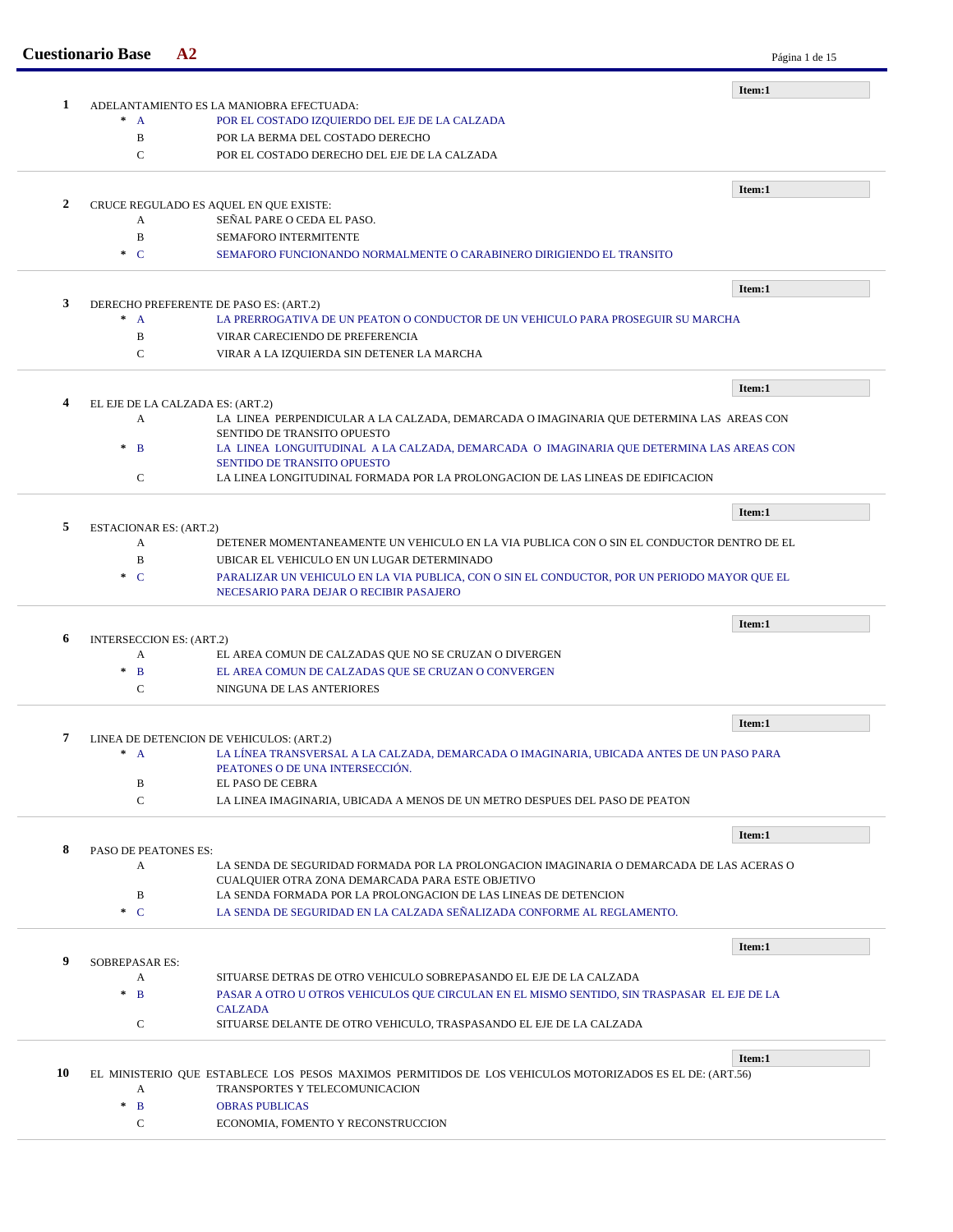| -1 |                           |                                                                                                                            | Item:1 |
|----|---------------------------|----------------------------------------------------------------------------------------------------------------------------|--------|
|    | $^*$ A                    | ADELANTAMIENTO ES LA MANIOBRA EFECTUADA:<br>POR EL COSTADO IZQUIERDO DEL EJE DE LA CALZADA                                 |        |
|    | B                         | POR LA BERMA DEL COSTADO DERECHO                                                                                           |        |
|    | $\mathcal{C}$             | POR EL COSTADO DERECHO DEL EJE DE LA CALZADA                                                                               |        |
|    |                           |                                                                                                                            |        |
|    |                           |                                                                                                                            | Item:1 |
| 2  | A                         | CRUCE REGULADO ES AQUEL EN QUE EXISTE:<br>SEÑAL PARE O CEDA EL PASO.                                                       |        |
|    | $\mathbf B$               | <b>SEMAFORO INTERMITENTE</b>                                                                                               |        |
|    | $\ast$ C                  | SEMAFORO FUNCIONANDO NORMALMENTE O CARABINERO DIRIGIENDO EL TRANSITO                                                       |        |
|    |                           |                                                                                                                            |        |
|    |                           |                                                                                                                            | Item:1 |
| 3  | $^*$ A                    | DERECHO PREFERENTE DE PASO ES: (ART.2)<br>LA PRERROGATIVA DE UN PEATON O CONDUCTOR DE UN VEHICULO PARA PROSEGUIR SU MARCHA |        |
|    | B                         | VIRAR CARECIENDO DE PREFERENCIA                                                                                            |        |
|    | $\mathbf C$               | VIRAR A LA IZQUIERDA SIN DETENER LA MARCHA                                                                                 |        |
|    |                           |                                                                                                                            |        |
|    |                           |                                                                                                                            | Item:1 |
| 4  |                           | EL EJE DE LA CALZADA ES: (ART.2)                                                                                           |        |
|    | A                         | LA LINEA PERPENDICULAR A LA CALZADA, DEMARCADA O IMAGINARIA QUE DETERMINA LAS AREAS CON<br>SENTIDO DE TRANSITO OPUESTO     |        |
|    | $*$ B                     | LA LINEA LONGUITUDINAL A LA CALZADA, DEMARCADA O IMAGINARIA QUE DETERMINA LAS AREAS CON                                    |        |
|    |                           | SENTIDO DE TRANSITO OPUESTO                                                                                                |        |
|    | $\mathbf C$               | LA LINEA LONGITUDINAL FORMADA POR LA PROLONGACION DE LAS LINEAS DE EDIFICACION                                             |        |
|    |                           |                                                                                                                            | Item:1 |
|    | ESTACIONAR ES: (ART.2)    |                                                                                                                            |        |
| 5  |                           |                                                                                                                            |        |
|    | A                         | DETENER MOMENTANEAMENTE UN VEHICULO EN LA VIA PUBLICA CON O SIN EL CONDUCTOR DENTRO DE EL                                  |        |
|    | B                         | UBICAR EL VEHICULO EN UN LUGAR DETERMINADO                                                                                 |        |
|    | $\cdot$ C                 | PARALIZAR UN VEHICULO EN LA VIA PUBLICA, CON O SIN EL CONDUCTOR, POR UN PERIODO MAYOR QUE EL                               |        |
|    |                           | NECESARIO PARA DEJAR O RECIBIR PASAJERO                                                                                    |        |
|    |                           |                                                                                                                            | Item:1 |
| 6  | INTERSECCION ES: (ART.2)  |                                                                                                                            |        |
|    | A                         | EL AREA COMUN DE CALZADAS QUE NO SE CRUZAN O DIVERGEN                                                                      |        |
|    | $*$ B                     | EL AREA COMUN DE CALZADAS QUE SE CRUZAN O CONVERGEN                                                                        |        |
|    | $\mathbf C$               | NINGUNA DE LAS ANTERIORES                                                                                                  |        |
|    |                           |                                                                                                                            | Item:1 |
|    |                           | LINEA DE DETENCION DE VEHICULOS: (ART.2)                                                                                   |        |
|    | $^*$ A                    | LA LÍNEA TRANSVERSAL A LA CALZADA, DEMARCADA O IMAGINARIA, UBICADA ANTES DE UN PASO PARA                                   |        |
|    |                           | PEATONES O DE UNA INTERSECCIÓN.                                                                                            |        |
|    | B<br>$\mathbf C$          | EL PASO DE CEBRA<br>LA LINEA IMAGINARIA. UBICADA A MENOS DE UN METRO DESPUES DEL PASO DE PEATON                            |        |
|    |                           |                                                                                                                            |        |
| 8  |                           |                                                                                                                            | Item:1 |
|    | PASO DE PEATONES ES:<br>A | LA SENDA DE SEGURIDAD FORMADA POR LA PROLONGACION IMAGINARIA O DEMARCADA DE LAS ACERAS O                                   |        |
|    |                           | CUALQUIER OTRA ZONA DEMARCADA PARA ESTE OBJETIVO                                                                           |        |
|    | $\, {\bf B}$              | LA SENDA FORMADA POR LA PROLONGACION DE LAS LINEAS DE DETENCION                                                            |        |
|    | $\ast$ C                  | LA SENDA DE SEGURIDAD EN LA CALZADA SEÑALIZADA CONFORME AL REGLAMENTO.                                                     |        |
|    |                           |                                                                                                                            |        |
| 9  | <b>SOBREPASAR ES:</b>     |                                                                                                                            | Item:1 |
|    | A                         | SITUARSE DETRAS DE OTRO VEHICULO SOBREPASANDO EL EJE DE LA CALZADA                                                         |        |
|    | $*$ B                     | PASAR A OTRO U OTROS VEHICULOS QUE CIRCULAN EN EL MISMO SENTIDO, SIN TRASPASAR EL EJE DE LA                                |        |
|    |                           | <b>CALZADA</b>                                                                                                             |        |
|    | $\mathbf C$               | SITUARSE DELANTE DE OTRO VEHICULO, TRASPASANDO EL EJE DE LA CALZADA                                                        |        |
|    |                           |                                                                                                                            | Item:1 |
| 10 |                           | EL MINISTERIO QUE ESTABLECE LOS PESOS MAXIMOS PERMITIDOS DE LOS VEHICULOS MOTORIZADOS ES EL DE: (ART.56)                   |        |
|    | A                         | TRANSPORTES Y TELECOMUNICACION                                                                                             |        |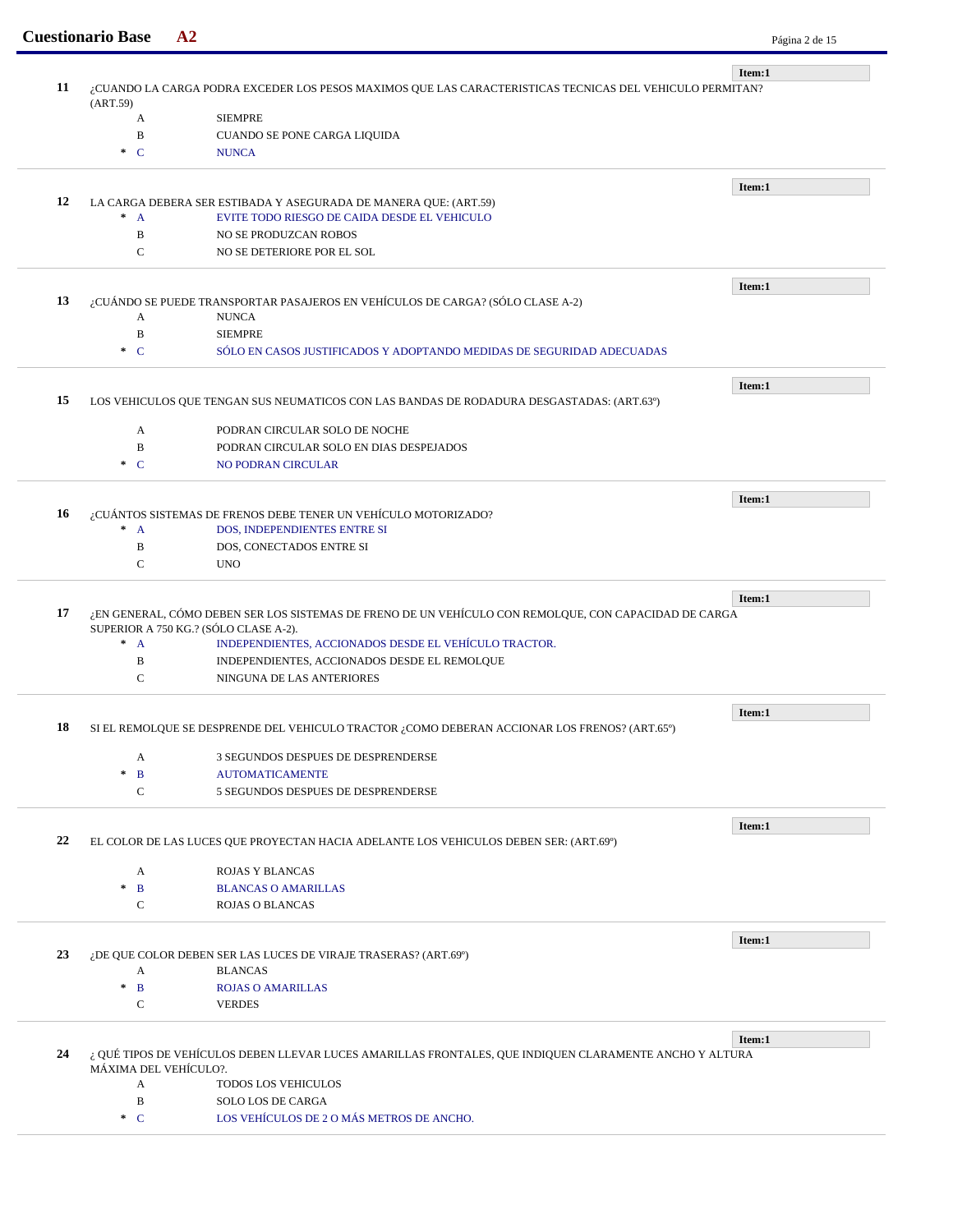|    |                                                                                                          |                                                                                                                                                | Item:1 |  |  |
|----|----------------------------------------------------------------------------------------------------------|------------------------------------------------------------------------------------------------------------------------------------------------|--------|--|--|
| 11 | ¿CUANDO LA CARGA PODRA EXCEDER LOS PESOS MAXIMOS QUE LAS CARACTERISTICAS TECNICAS DEL VEHICULO PERMITAN? |                                                                                                                                                |        |  |  |
|    | (ART.59)<br>A                                                                                            | <b>SIEMPRE</b>                                                                                                                                 |        |  |  |
|    | $\mathbf B$                                                                                              | CUANDO SE PONE CARGA LIQUIDA                                                                                                                   |        |  |  |
|    | $\ast$ C                                                                                                 | <b>NUNCA</b>                                                                                                                                   |        |  |  |
|    |                                                                                                          |                                                                                                                                                |        |  |  |
|    |                                                                                                          |                                                                                                                                                | Item:1 |  |  |
| 12 |                                                                                                          | LA CARGA DEBERA SER ESTIBADA Y ASEGURADA DE MANERA QUE: (ART.59)                                                                               |        |  |  |
|    | $\pm$<br>$\mathbf{A}$                                                                                    | EVITE TODO RIESGO DE CAIDA DESDE EL VEHICULO                                                                                                   |        |  |  |
|    | $\, {\bf B}$                                                                                             | NO SE PRODUZCAN ROBOS                                                                                                                          |        |  |  |
|    | $\mathbf C$                                                                                              | NO SE DETERIORE POR EL SOL                                                                                                                     |        |  |  |
|    |                                                                                                          |                                                                                                                                                |        |  |  |
|    |                                                                                                          |                                                                                                                                                | Item:1 |  |  |
| 13 |                                                                                                          | ¿CUÁNDO SE PUEDE TRANSPORTAR PASAJEROS EN VEHÍCULOS DE CARGA? (SÓLO CLASE A-2)                                                                 |        |  |  |
|    | A<br>$\, {\bf B}$                                                                                        | <b>NUNCA</b><br><b>SIEMPRE</b>                                                                                                                 |        |  |  |
|    | $\ast$ C                                                                                                 | SÓLO EN CASOS JUSTIFICADOS Y ADOPTANDO MEDIDAS DE SEGURIDAD ADECUADAS                                                                          |        |  |  |
|    |                                                                                                          |                                                                                                                                                |        |  |  |
|    |                                                                                                          |                                                                                                                                                | Item:1 |  |  |
| 15 |                                                                                                          | LOS VEHICULOS QUE TENGAN SUS NEUMATICOS CON LAS BANDAS DE RODADURA DESGASTADAS: (ART.63º)                                                      |        |  |  |
|    |                                                                                                          |                                                                                                                                                |        |  |  |
|    | A                                                                                                        | PODRAN CIRCULAR SOLO DE NOCHE                                                                                                                  |        |  |  |
|    | B                                                                                                        | PODRAN CIRCULAR SOLO EN DIAS DESPEJADOS                                                                                                        |        |  |  |
|    | $\pm$<br>$\mathbf C$                                                                                     | <b>NO PODRAN CIRCULAR</b>                                                                                                                      |        |  |  |
|    |                                                                                                          |                                                                                                                                                | Item:1 |  |  |
| 16 |                                                                                                          | ¿CUÁNTOS SISTEMAS DE FRENOS DEBE TENER UN VEHÍCULO MOTORIZADO?                                                                                 |        |  |  |
|    | $* A$                                                                                                    | DOS, INDEPENDIENTES ENTRE SI                                                                                                                   |        |  |  |
|    | $\, {\bf B}$                                                                                             | DOS, CONECTADOS ENTRE SI                                                                                                                       |        |  |  |
|    | $\mathsf{C}$                                                                                             | <b>UNO</b>                                                                                                                                     |        |  |  |
|    |                                                                                                          |                                                                                                                                                |        |  |  |
|    |                                                                                                          |                                                                                                                                                | Item:1 |  |  |
| 17 |                                                                                                          | ¿EN GENERAL, CÓMO DEBEN SER LOS SISTEMAS DE FRENO DE UN VEHÍCULO CON REMOLQUE, CON CAPACIDAD DE CARGA<br>SUPERIOR A 750 KG.? (SÓLO CLASE A-2). |        |  |  |
|    | $* A$                                                                                                    | INDEPENDIENTES, ACCIONADOS DESDE EL VEHÍCULO TRACTOR.                                                                                          |        |  |  |
|    | $\, {\bf B}$                                                                                             | INDEPENDIENTES, ACCIONADOS DESDE EL REMOLQUE                                                                                                   |        |  |  |
|    | $\mathbf C$                                                                                              | NINGUNA DE LAS ANTERIORES                                                                                                                      |        |  |  |
|    |                                                                                                          |                                                                                                                                                |        |  |  |
|    |                                                                                                          |                                                                                                                                                | Item:1 |  |  |
|    |                                                                                                          | 18 SI EL REMOLQUE SE DESPRENDE DEL VEHICULO TRACTOR ¿COMO DEBERAN ACCIONAR LOS FRENOS? (ART.65°)                                               |        |  |  |
|    | A                                                                                                        | 3 SEGUNDOS DESPUES DE DESPRENDERSE                                                                                                             |        |  |  |
|    | $\mathbf{B}$<br>$\mathcal{R}$                                                                            | <b>AUTOMATICAMENTE</b>                                                                                                                         |        |  |  |
|    | $\mathbf C$                                                                                              | 5 SEGUNDOS DESPUES DE DESPRENDERSE                                                                                                             |        |  |  |
|    |                                                                                                          |                                                                                                                                                |        |  |  |
|    |                                                                                                          |                                                                                                                                                | Item:1 |  |  |
| 22 |                                                                                                          | EL COLOR DE LAS LUCES QUE PROYECTAN HACIA ADELANTE LOS VEHICULOS DEBEN SER: (ART.69°)                                                          |        |  |  |
|    | A                                                                                                        | ROJAS Y BLANCAS                                                                                                                                |        |  |  |
|    | $\mathbf{B}$<br>$\ast$                                                                                   | <b>BLANCAS O AMARILLAS</b>                                                                                                                     |        |  |  |
|    | $\mathbf C$                                                                                              | <b>ROJAS O BLANCAS</b>                                                                                                                         |        |  |  |
|    |                                                                                                          |                                                                                                                                                |        |  |  |
|    |                                                                                                          |                                                                                                                                                | Item:1 |  |  |
| 23 |                                                                                                          | ¿DE QUE COLOR DEBEN SER LAS LUCES DE VIRAJE TRASERAS? (ART.69º)                                                                                |        |  |  |
|    | A                                                                                                        | <b>BLANCAS</b>                                                                                                                                 |        |  |  |
|    | $\mathbf{B}$<br>$\mathcal{H}$                                                                            | <b>ROJAS O AMARILLAS</b>                                                                                                                       |        |  |  |
|    | С                                                                                                        | <b>VERDES</b>                                                                                                                                  |        |  |  |
|    |                                                                                                          |                                                                                                                                                | Item:1 |  |  |
| 24 |                                                                                                          | ¿ QUÉ TIPOS DE VEHÍCULOS DEBEN LLEVAR LUCES AMARILLAS FRONTALES, QUE INDIQUEN CLARAMENTE ANCHO Y ALTURA                                        |        |  |  |
|    | MÁXIMA DEL VEHÍCULO?.                                                                                    |                                                                                                                                                |        |  |  |
|    | A                                                                                                        | TODOS LOS VEHICULOS                                                                                                                            |        |  |  |
|    | $\, {\bf B}$                                                                                             | SOLO LOS DE CARGA                                                                                                                              |        |  |  |
|    | $\ast$ C                                                                                                 | LOS VEHÍCULOS DE 2 O MÁS METROS DE ANCHO.                                                                                                      |        |  |  |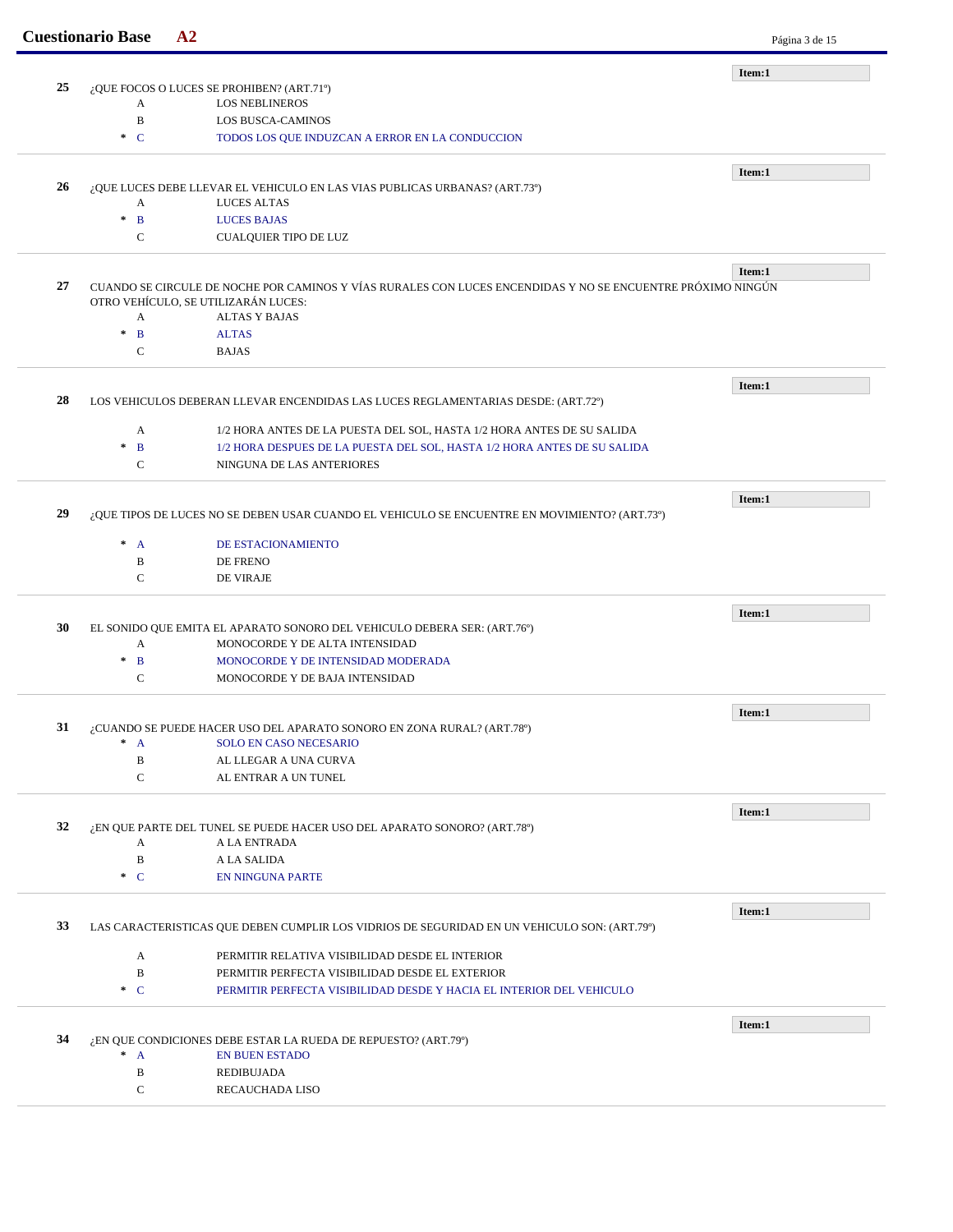|    | <b>Cuestionario Base</b> | A2                                                                                                          | Página 3 de 15 |
|----|--------------------------|-------------------------------------------------------------------------------------------------------------|----------------|
|    |                          |                                                                                                             | Item:1         |
| 25 |                          | ¿QUE FOCOS O LUCES SE PROHIBEN? (ART.71°)                                                                   |                |
|    | А<br>$\, {\bf B}$        | <b>LOS NEBLINEROS</b>                                                                                       |                |
|    | $\cdot$ C                | <b>LOS BUSCA-CAMINOS</b><br>TODOS LOS QUE INDUZCAN A ERROR EN LA CONDUCCION                                 |                |
|    |                          |                                                                                                             |                |
|    |                          |                                                                                                             | Item:1         |
| 26 |                          | ¿QUE LUCES DEBE LLEVAR EL VEHICULO EN LAS VIAS PUBLICAS URBANAS? (ART.73º)                                  |                |
|    | A                        | <b>LUCES ALTAS</b>                                                                                          |                |
|    | $\mathbf{B}$<br>$\pm$    | <b>LUCES BAJAS</b>                                                                                          |                |
|    | $\mathsf{C}$             | <b>CUALQUIER TIPO DE LUZ</b>                                                                                |                |
|    |                          |                                                                                                             | Item:1         |
| 27 |                          | CUANDO SE CIRCULE DE NOCHE POR CAMINOS Y VÍAS RURALES CON LUCES ENCENDIDAS Y NO SE ENCUENTRE PRÓXIMO NINGÚN |                |
|    |                          | OTRO VEHÍCULO, SE UTILIZARÁN LUCES:                                                                         |                |
|    | A                        | <b>ALTAS Y BAJAS</b>                                                                                        |                |
|    | $\ast$<br>$\mathbf{B}$   | <b>ALTAS</b>                                                                                                |                |
|    | $\mathsf{C}$             | <b>BAJAS</b>                                                                                                |                |
|    |                          |                                                                                                             | Item:1         |
| 28 |                          | LOS VEHICULOS DEBERAN LLEVAR ENCENDIDAS LAS LUCES REGLAMENTARIAS DESDE: (ART.72º)                           |                |
|    |                          |                                                                                                             |                |
|    | A                        | 1/2 HORA ANTES DE LA PUESTA DEL SOL, HASTA 1/2 HORA ANTES DE SU SALIDA                                      |                |
|    | $\mathbf{B}$<br>$\ast$   | 1/2 HORA DESPUES DE LA PUESTA DEL SOL, HASTA 1/2 HORA ANTES DE SU SALIDA                                    |                |
|    | $\mathbf C$              | NINGUNA DE LAS ANTERIORES                                                                                   |                |
|    |                          |                                                                                                             | Item:1         |
| 29 |                          | ¿QUE TIPOS DE LUCES NO SE DEBEN USAR CUANDO EL VEHICULO SE ENCUENTRE EN MOVIMIENTO? (ART.73º)               |                |
|    |                          |                                                                                                             |                |
|    | $* A$                    | DE ESTACIONAMIENTO                                                                                          |                |
|    | B                        | <b>DE FRENO</b>                                                                                             |                |
|    | $\mathsf{C}$             | DE VIRAJE                                                                                                   |                |
|    |                          |                                                                                                             | Item:1         |
| 30 |                          | EL SONIDO QUE EMITA EL APARATO SONORO DEL VEHICULO DEBERA SER: (ART.76°)                                    |                |
|    | A                        | MONOCORDE Y DE ALTA INTENSIDAD                                                                              |                |
|    | $\pm$<br>$\mathbf{B}$    | MONOCORDE Y DE INTENSIDAD MODERADA                                                                          |                |
|    | $\mathbf C$              | MONOCORDE Y DE BAJA INTENSIDAD                                                                              |                |
|    |                          |                                                                                                             |                |
| 31 |                          | ¿CUANDO SE PUEDE HACER USO DEL APARATO SONORO EN ZONA RURAL? (ART.78°)                                      | Item:1         |
|    | $\overline{A}$<br>$\ast$ | SOLO EN CASO NECESARIO                                                                                      |                |
|    | $\, {\bf B}$             | AL LLEGAR A UNA CURVA                                                                                       |                |
|    | $\mathsf{C}$             | AL ENTRAR A UN TUNEL                                                                                        |                |
|    |                          |                                                                                                             |                |
| 32 |                          | ¿EN QUE PARTE DEL TUNEL SE PUEDE HACER USO DEL APARATO SONORO? (ART.78º)                                    | Item:1         |
|    | A                        | A LA ENTRADA                                                                                                |                |
|    | $\, {\bf B}$             | A LA SALIDA                                                                                                 |                |
|    | $\cdot$ C                | <b>EN NINGUNA PARTE</b>                                                                                     |                |
|    |                          |                                                                                                             |                |
|    |                          |                                                                                                             | Item:1         |
|    |                          | LAS CARACTERISTICAS QUE DEBEN CUMPLIR LOS VIDRIOS DE SEGURIDAD EN UN VEHICULO SON: (ART.79°)                |                |
| 33 |                          |                                                                                                             |                |
|    | A                        | PERMITIR RELATIVA VISIBILIDAD DESDE EL INTERIOR                                                             |                |
|    | B                        | PERMITIR PERFECTA VISIBILIDAD DESDE EL EXTERIOR                                                             |                |
|    | $\ast$ C                 | PERMITIR PERFECTA VISIBILIDAD DESDE Y HACIA EL INTERIOR DEL VEHICULO                                        |                |
|    |                          |                                                                                                             |                |
| 34 |                          |                                                                                                             | Item:1         |
|    | $^*$ A                   | ¿EN QUE CONDICIONES DEBE ESTAR LA RUEDA DE REPUESTO? (ART.79º)<br><b>EN BUEN ESTADO</b>                     |                |
|    | B                        | REDIBUJADA                                                                                                  |                |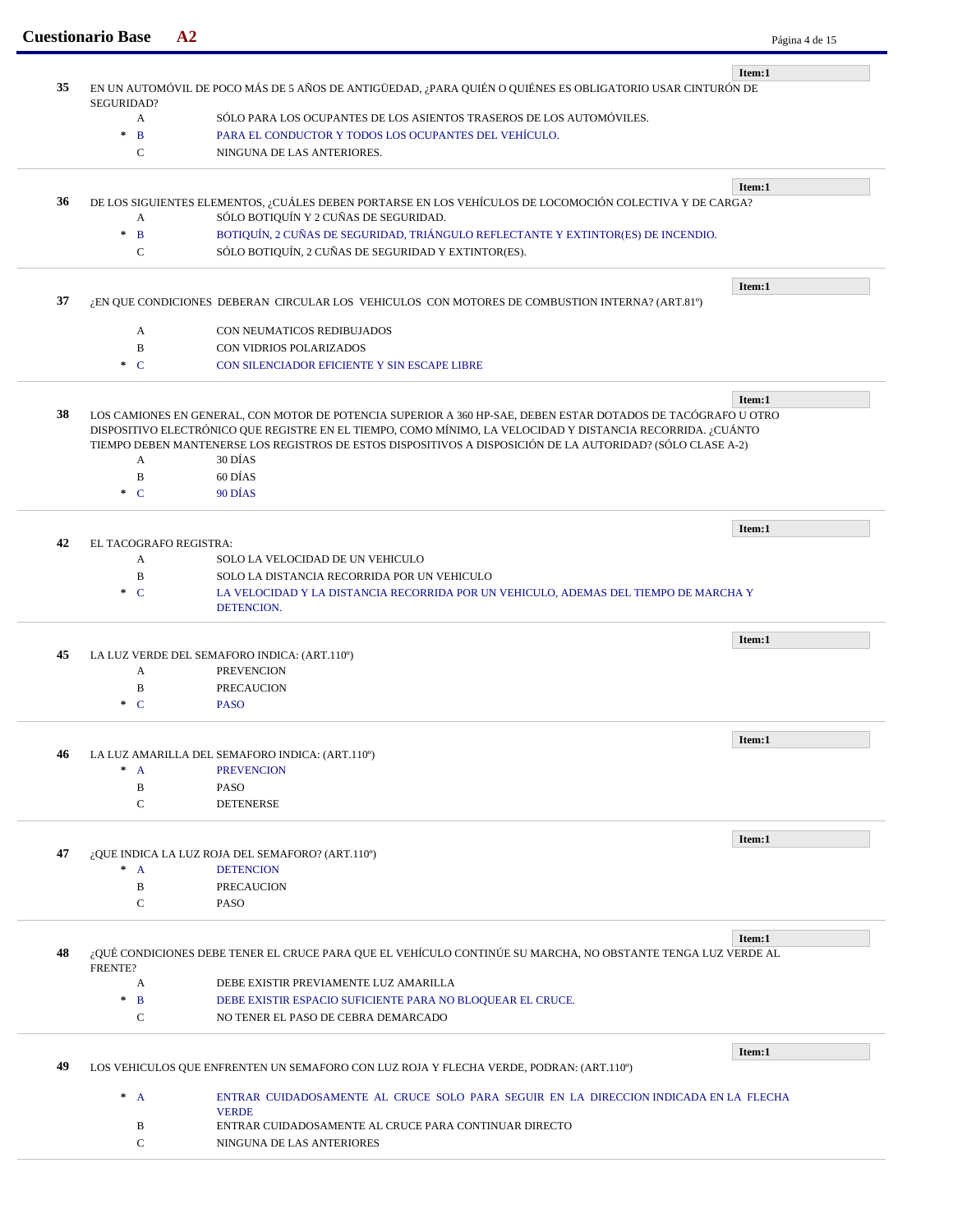|    | <b>Cuestionario Base</b>                     | A2                                                                                                                                       | Página 4 de 15 |
|----|----------------------------------------------|------------------------------------------------------------------------------------------------------------------------------------------|----------------|
|    |                                              |                                                                                                                                          | Item:1         |
| 35 | SEGURIDAD?                                   | EN UN AUTOMÓVIL DE POCO MÁS DE 5 AÑOS DE ANTIGÜEDAD, ¿PARA QUIÉN O QUIÉNES ES OBLIGATORIO USAR CINTURÓN DE                               |                |
|    | A                                            | SÓLO PARA LOS OCUPANTES DE LOS ASIENTOS TRASEROS DE LOS AUTOMÓVILES.                                                                     |                |
|    | $\star$<br>$\mathbf{B}$                      | PARA EL CONDUCTOR Y TODOS LOS OCUPANTES DEL VEHÍCULO.                                                                                    |                |
|    | C                                            | NINGUNA DE LAS ANTERIORES.                                                                                                               |                |
|    |                                              |                                                                                                                                          | Item:1         |
| 36 |                                              | DE LOS SIGUIENTES ELEMENTOS, ¿CUÁLES DEBEN PORTARSE EN LOS VEHÍCULOS DE LOCOMOCIÓN COLECTIVA Y DE CARGA?                                 |                |
|    | A                                            | SÓLO BOTIQUÍN Y 2 CUÑAS DE SEGURIDAD.                                                                                                    |                |
|    | $\frac{1}{2}$<br>$\mathbf{B}$<br>$\mathbf C$ | BOTIQUÍN, 2 CUÑAS DE SEGURIDAD, TRIÁNGULO REFLECTANTE Y EXTINTOR(ES) DE INCENDIO.<br>SÓLO BOTIQUÍN, 2 CUÑAS DE SEGURIDAD Y EXTINTOR(ES). |                |
|    |                                              |                                                                                                                                          |                |
|    |                                              |                                                                                                                                          | Item:1         |
| 37 |                                              | ¿EN QUE CONDICIONES DEBERAN CIRCULAR LOS VEHICULOS CON MOTORES DE COMBUSTION INTERNA? (ART.81º)                                          |                |
|    | A                                            | CON NEUMATICOS REDIBUJADOS                                                                                                               |                |
|    | B                                            | CON VIDRIOS POLARIZADOS                                                                                                                  |                |
|    | $\cdot$ C                                    | CON SILENCIADOR EFICIENTE Y SIN ESCAPE LIBRE                                                                                             |                |
|    |                                              |                                                                                                                                          |                |
| 38 |                                              | LOS CAMIONES EN GENERAL, CON MOTOR DE POTENCIA SUPERIOR A 360 HP-SAE, DEBEN ESTAR DOTADOS DE TACÓGRAFO U OTRO                            | Item:1         |
|    |                                              | DISPOSITIVO ELECTRÓNICO QUE REGISTRE EN EL TIEMPO, COMO MÍNIMO, LA VELOCIDAD Y DISTANCIA RECORRIDA. ¿CUÁNTO                              |                |
|    | $\mathbf{A}$                                 | TIEMPO DEBEN MANTENERSE LOS REGISTROS DE ESTOS DISPOSITIVOS A DISPOSICIÓN DE LA AUTORIDAD? (SÓLO CLASE A-2)<br>30 DÍAS                   |                |
|    | B                                            | 60 DÍAS                                                                                                                                  |                |
|    | $\ast$ C                                     | 90 DÍAS                                                                                                                                  |                |
|    |                                              |                                                                                                                                          |                |
|    |                                              |                                                                                                                                          | Item:1         |
| 42 | EL TACOGRAFO REGISTRA:<br>A                  | SOLO LA VELOCIDAD DE UN VEHICULO                                                                                                         |                |
|    | $\, {\bf B}$                                 | SOLO LA DISTANCIA RECORRIDA POR UN VEHICULO                                                                                              |                |
|    | $\pm$<br>$\mathbf C$                         | LA VELOCIDAD Y LA DISTANCIA RECORRIDA POR UN VEHICULO, ADEMAS DEL TIEMPO DE MARCHA Y                                                     |                |
|    |                                              | DETENCION.                                                                                                                               |                |
|    |                                              |                                                                                                                                          | Item:1         |
| 45 |                                              | LA LUZ VERDE DEL SEMAFORO INDICA: (ART.110°)                                                                                             |                |
|    | A                                            | <b>PREVENCION</b>                                                                                                                        |                |
|    | B<br>$\mathbf C$<br>$\mathcal{R}$            | <b>PRECAUCION</b><br><b>PASO</b>                                                                                                         |                |
|    |                                              |                                                                                                                                          |                |
|    |                                              |                                                                                                                                          | Item:1         |
| 46 |                                              | LA LUZ AMARILLA DEL SEMAFORO INDICA: (ART.110°)                                                                                          |                |
|    | $^*$ A<br>B                                  | <b>PREVENCION</b><br><b>PASO</b>                                                                                                         |                |
|    | C                                            | <b>DETENERSE</b>                                                                                                                         |                |
|    |                                              |                                                                                                                                          |                |
|    |                                              |                                                                                                                                          | Item:1         |
| 47 | $^*$ A                                       | ¿QUE INDICA LA LUZ ROJA DEL SEMAFORO? (ART.110°)<br><b>DETENCION</b>                                                                     |                |
|    | B                                            | <b>PRECAUCION</b>                                                                                                                        |                |
|    |                                              | <b>PASO</b>                                                                                                                              |                |
|    | C                                            |                                                                                                                                          |                |
|    |                                              |                                                                                                                                          |                |
|    |                                              |                                                                                                                                          | Item:1         |
|    | FRENTE?                                      | ¿QUÉ CONDICIONES DEBE TENER EL CRUCE PARA QUE EL VEHÍCULO CONTINÚE SU MARCHA, NO OBSTANTE TENGA LUZ VERDE AL                             |                |
|    | A                                            | DEBE EXISTIR PREVIAMENTE LUZ AMARILLA                                                                                                    |                |
|    | $\pm$<br>B                                   | DEBE EXISTIR ESPACIO SUFICIENTE PARA NO BLOQUEAR EL CRUCE.                                                                               |                |
| 48 | C                                            | NO TENER EL PASO DE CEBRA DEMARCADO                                                                                                      |                |
|    |                                              |                                                                                                                                          | Item:1         |
| 49 |                                              | LOS VEHICULOS QUE ENFRENTEN UN SEMAFORO CON LUZ ROJA Y FLECHA VERDE, PODRAN: (ART.110°)                                                  |                |
|    |                                              |                                                                                                                                          |                |
|    | $^*$ A                                       | ENTRAR CUIDADOSAMENTE AL CRUCE SOLO PARA SEGUIR EN LA DIRECCION INDICADA EN LA FLECHA<br><b>VERDE</b>                                    |                |
|    | B                                            | ENTRAR CUIDADOSAMENTE AL CRUCE PARA CONTINUAR DIRECTO                                                                                    |                |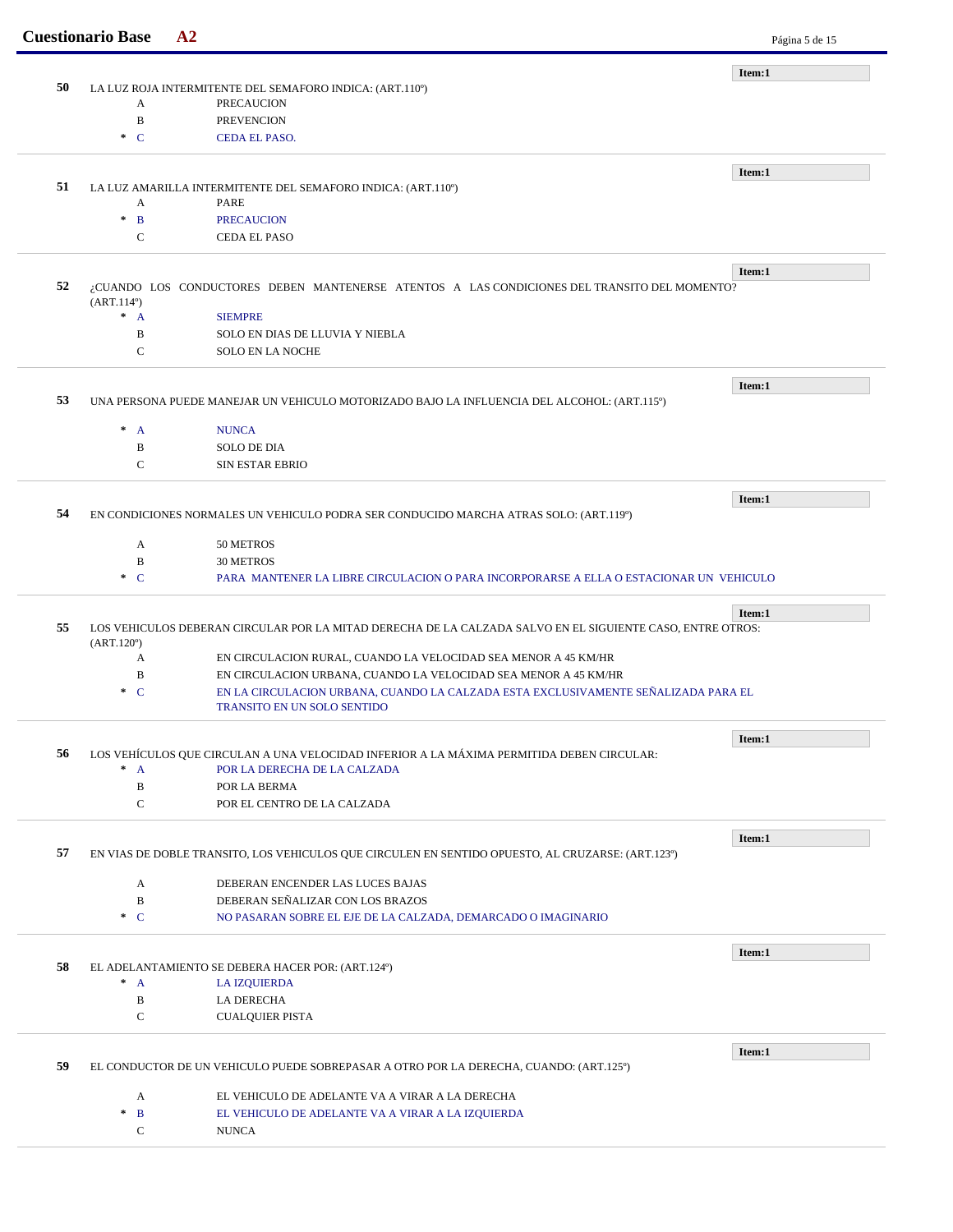| 50 |                                              | LA LUZ ROJA INTERMITENTE DEL SEMAFORO INDICA: (ART.110°)                                                   | Item:1 |
|----|----------------------------------------------|------------------------------------------------------------------------------------------------------------|--------|
|    | A                                            | <b>PRECAUCION</b>                                                                                          |        |
|    | $\, {\bf B}$                                 | <b>PREVENCION</b>                                                                                          |        |
|    | $\ast$ C                                     | <b>CEDA EL PASO.</b>                                                                                       |        |
|    |                                              |                                                                                                            |        |
|    |                                              |                                                                                                            | Item:1 |
| 51 |                                              | LA LUZ AMARILLA INTERMITENTE DEL SEMAFORO INDICA: (ART.110°)                                               |        |
|    | A                                            | PARE                                                                                                       |        |
|    | $\mathbf{B}$<br>$\ast$                       | <b>PRECAUCION</b>                                                                                          |        |
|    | C                                            | CEDA EL PASO                                                                                               |        |
|    |                                              |                                                                                                            | Item:1 |
| 52 |                                              | ¿CUANDO LOS CONDUCTORES DEBEN MANTENERSE ATENTOS A LAS CONDICIONES DEL TRANSITO DEL MOMENTO?               |        |
|    | (ART.114 <sup>0</sup> )                      |                                                                                                            |        |
|    | $^*$ A                                       | <b>SIEMPRE</b>                                                                                             |        |
|    | B                                            | SOLO EN DIAS DE LLUVIA Y NIEBLA                                                                            |        |
|    | $\mathsf{C}$                                 | <b>SOLO EN LA NOCHE</b>                                                                                    |        |
|    |                                              |                                                                                                            | Item:1 |
| 53 |                                              | UNA PERSONA PUEDE MANEJAR UN VEHICULO MOTORIZADO BAJO LA INFLUENCIA DEL ALCOHOL: (ART.115º)                |        |
|    |                                              |                                                                                                            |        |
|    | $* A$                                        | <b>NUNCA</b>                                                                                               |        |
|    | B                                            | <b>SOLO DE DIA</b>                                                                                         |        |
|    | C                                            | <b>SIN ESTAR EBRIO</b>                                                                                     |        |
|    |                                              |                                                                                                            | Item:1 |
| 54 |                                              | EN CONDICIONES NORMALES UN VEHICULO PODRA SER CONDUCIDO MARCHA ATRAS SOLO: (ART.119º)                      |        |
|    | A                                            | 50 METROS                                                                                                  |        |
|    | B                                            | <b>30 METROS</b>                                                                                           |        |
|    | $\mathbf C$<br>$\mathcal{H}$                 | PARA MANTENER LA LIBRE CIRCULACION O PARA INCORPORARSE A ELLA O ESTACIONAR UN VEHICULO                     |        |
|    |                                              |                                                                                                            |        |
|    |                                              |                                                                                                            | Item:1 |
| 55 |                                              | LOS VEHICULOS DEBERAN CIRCULAR POR LA MITAD DERECHA DE LA CALZADA SALVO EN EL SIGUIENTE CASO, ENTRE OTROS: |        |
|    | $(ART.120^{\circ})$                          |                                                                                                            |        |
|    | A                                            | EN CIRCULACION RURAL, CUANDO LA VELOCIDAD SEA MENOR A 45 KM/HR                                             |        |
|    | B                                            | EN CIRCULACION URBANA, CUANDO LA VELOCIDAD SEA MENOR A 45 KM/HR                                            |        |
|    | $\pm$<br>$\mathbf C$                         | EN LA CIRCULACION URBANA, CUANDO LA CALZADA ESTA EXCLUSIVAMENTE SEÑALIZADA PARA EL                         |        |
|    |                                              |                                                                                                            |        |
|    |                                              | TRANSITO EN UN SOLO SENTIDO                                                                                |        |
|    |                                              |                                                                                                            | Item:1 |
| 56 |                                              | LOS VEHÍCULOS QUE CIRCULAN A UNA VELOCIDAD INFERIOR A LA MÁXIMA PERMITIDA DEBEN CIRCULAR:                  |        |
|    | $* A$                                        | POR LA DERECHA DE LA CALZADA                                                                               |        |
|    | $\, {\bf B}$                                 | POR LA BERMA                                                                                               |        |
|    | $\mathbf C$                                  | POR EL CENTRO DE LA CALZADA                                                                                |        |
|    |                                              |                                                                                                            | Item:1 |
| 57 |                                              | EN VIAS DE DOBLE TRANSITO, LOS VEHICULOS QUE CIRCULEN EN SENTIDO OPUESTO, AL CRUZARSE: (ART.123º)          |        |
|    |                                              |                                                                                                            |        |
|    | A                                            | DEBERAN ENCENDER LAS LUCES BAJAS                                                                           |        |
|    | $\, {\bf B}$                                 | DEBERAN SEÑALIZAR CON LOS BRAZOS                                                                           |        |
|    | $C^*$                                        | NO PASARAN SOBRE EL EJE DE LA CALZADA, DEMARCADO O IMAGINARIO                                              |        |
|    |                                              |                                                                                                            |        |
| 58 |                                              | EL ADELANTAMIENTO SE DEBERA HACER POR: (ART.124º)                                                          | Item:1 |
|    | $* A$                                        | <b>LA IZQUIERDA</b>                                                                                        |        |
|    | $\, {\bf B}$                                 | LA DERECHA                                                                                                 |        |
|    | C                                            | <b>CUALQUIER PISTA</b>                                                                                     |        |
|    |                                              |                                                                                                            |        |
| 59 |                                              | EL CONDUCTOR DE UN VEHICULO PUEDE SOBREPASAR A OTRO POR LA DERECHA, CUANDO: (ART.125º)                     | Item:1 |
|    |                                              |                                                                                                            |        |
|    | A                                            | EL VEHICULO DE ADELANTE VA A VIRAR A LA DERECHA                                                            |        |
|    | $\frac{1}{2}$<br>$\mathbf{B}$<br>$\mathbf C$ | EL VEHICULO DE ADELANTE VA A VIRAR A LA IZQUIERDA<br><b>NUNCA</b>                                          |        |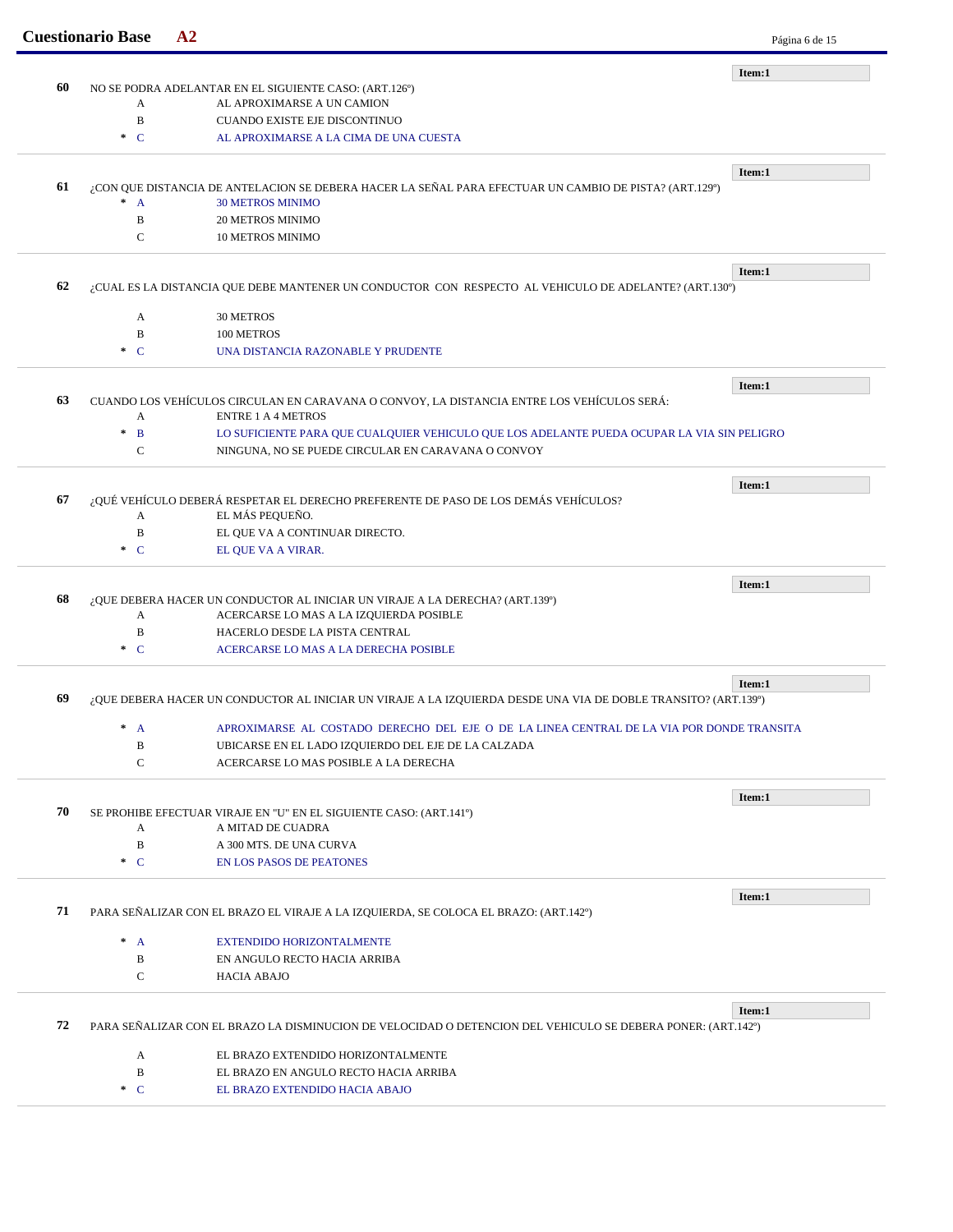|    | <b>Cuestionario Base</b>                                                                                                 | A2                                                                                                           | Página 6 de 15 |  |  |
|----|--------------------------------------------------------------------------------------------------------------------------|--------------------------------------------------------------------------------------------------------------|----------------|--|--|
|    |                                                                                                                          |                                                                                                              | Item:1         |  |  |
| 60 | A                                                                                                                        | NO SE PODRA ADELANTAR EN EL SIGUIENTE CASO: (ART.126°)                                                       |                |  |  |
|    | $\, {\bf B}$                                                                                                             | AL APROXIMARSE A UN CAMION<br>CUANDO EXISTE EJE DISCONTINUO                                                  |                |  |  |
|    | $\ast$ C                                                                                                                 | AL APROXIMARSE A LA CIMA DE UNA CUESTA                                                                       |                |  |  |
|    |                                                                                                                          |                                                                                                              |                |  |  |
|    |                                                                                                                          |                                                                                                              | Item:1         |  |  |
| 61 |                                                                                                                          | ¿CON QUE DISTANCIA DE ANTELACION SE DEBERA HACER LA SEÑAL PARA EFECTUAR UN CAMBIO DE PISTA? (ART.129°)       |                |  |  |
|    | $\ast$<br>$\overline{A}$<br>B                                                                                            | <b>30 METROS MINIMO</b><br><b>20 METROS MINIMO</b>                                                           |                |  |  |
|    | C                                                                                                                        | <b>10 METROS MINIMO</b>                                                                                      |                |  |  |
|    |                                                                                                                          |                                                                                                              |                |  |  |
|    |                                                                                                                          |                                                                                                              | Item:1         |  |  |
| 62 |                                                                                                                          | ¿CUAL ES LA DISTANCIA QUE DEBE MANTENER UN CONDUCTOR CON RESPECTO AL VEHICULO DE ADELANTE? (ART.130°)        |                |  |  |
|    | A                                                                                                                        | 30 METROS                                                                                                    |                |  |  |
|    | B                                                                                                                        | 100 METROS                                                                                                   |                |  |  |
|    | $\ast$ C                                                                                                                 | UNA DISTANCIA RAZONABLE Y PRUDENTE                                                                           |                |  |  |
|    |                                                                                                                          |                                                                                                              |                |  |  |
| 63 |                                                                                                                          | CUANDO LOS VEHÍCULOS CIRCULAN EN CARAVANA O CONVOY, LA DISTANCIA ENTRE LOS VEHÍCULOS SERÁ:                   | Item:1         |  |  |
|    | A                                                                                                                        | <b>ENTRE 1 A 4 METROS</b>                                                                                    |                |  |  |
|    | $\pm$<br>$\mathbf{B}$                                                                                                    | LO SUFICIENTE PARA QUE CUALQUIER VEHICULO QUE LOS ADELANTE PUEDA OCUPAR LA VIA SIN PELIGRO                   |                |  |  |
|    | C                                                                                                                        | NINGUNA, NO SE PUEDE CIRCULAR EN CARAVANA O CONVOY                                                           |                |  |  |
|    |                                                                                                                          |                                                                                                              |                |  |  |
| 67 |                                                                                                                          | ¿QUÉ VEHÍCULO DEBERÁ RESPETAR EL DERECHO PREFERENTE DE PASO DE LOS DEMÁS VEHÍCULOS?                          | Item:1         |  |  |
|    | A                                                                                                                        | EL MÁS PEQUEÑO.                                                                                              |                |  |  |
|    | B                                                                                                                        | EL QUE VA A CONTINUAR DIRECTO.                                                                               |                |  |  |
|    | $\ast$ C                                                                                                                 | EL QUE VA A VIRAR.                                                                                           |                |  |  |
|    |                                                                                                                          |                                                                                                              |                |  |  |
| 68 |                                                                                                                          | ¿QUE DEBERA HACER UN CONDUCTOR AL INICIAR UN VIRAJE A LA DERECHA? (ART.139º)                                 | Item:1         |  |  |
|    | A                                                                                                                        | ACERCARSE LO MAS A LA IZQUIERDA POSIBLE                                                                      |                |  |  |
|    | B                                                                                                                        | HACERLO DESDE LA PISTA CENTRAL                                                                               |                |  |  |
|    | $C^*$                                                                                                                    | ACERCARSE LO MAS A LA DERECHA POSIBLE                                                                        |                |  |  |
|    |                                                                                                                          |                                                                                                              |                |  |  |
| 69 | Item:1<br>¿QUE DEBERA HACER UN CONDUCTOR AL INICIAR UN VIRAJE A LA IZQUIERDA DESDE UNA VIA DE DOBLE TRANSITO? (ART.139º) |                                                                                                              |                |  |  |
|    |                                                                                                                          |                                                                                                              |                |  |  |
|    | A                                                                                                                        | APROXIMARSE AL COSTADO DERECHO DEL EJE O DE LA LINEA CENTRAL DE LA VIA POR DONDE TRANSITA                    |                |  |  |
|    | B                                                                                                                        | UBICARSE EN EL LADO IZQUIERDO DEL EJE DE LA CALZADA                                                          |                |  |  |
|    | C                                                                                                                        | ACERCARSE LO MAS POSIBLE A LA DERECHA                                                                        |                |  |  |
|    |                                                                                                                          |                                                                                                              | Item:1         |  |  |
| 70 |                                                                                                                          | SE PROHIBE EFECTUAR VIRAJE EN "U" EN EL SIGUIENTE CASO: (ART.141º)                                           |                |  |  |
|    | A                                                                                                                        | A MITAD DE CUADRA                                                                                            |                |  |  |
|    | $\, {\bf B}$                                                                                                             | A 300 MTS. DE UNA CURVA                                                                                      |                |  |  |
|    | $\cdot C$                                                                                                                | <b>EN LOS PASOS DE PEATONES</b>                                                                              |                |  |  |
|    |                                                                                                                          |                                                                                                              | Item:1         |  |  |
| 71 |                                                                                                                          | PARA SEÑALIZAR CON EL BRAZO EL VIRAJE A LA IZQUIERDA, SE COLOCA EL BRAZO: (ART.142º)                         |                |  |  |
|    | $^*$ A                                                                                                                   | EXTENDIDO HORIZONTALMENTE                                                                                    |                |  |  |
|    | B                                                                                                                        | EN ANGULO RECTO HACIA ARRIBA                                                                                 |                |  |  |
|    | C                                                                                                                        | <b>HACIA ABAJO</b>                                                                                           |                |  |  |
|    |                                                                                                                          |                                                                                                              |                |  |  |
| 72 |                                                                                                                          | PARA SEÑALIZAR CON EL BRAZO LA DISMINUCION DE VELOCIDAD O DETENCION DEL VEHICULO SE DEBERA PONER: (ART.142º) | Item:1         |  |  |
|    |                                                                                                                          |                                                                                                              |                |  |  |
|    | A                                                                                                                        | EL BRAZO EXTENDIDO HORIZONTALMENTE                                                                           |                |  |  |
|    | B                                                                                                                        | EL BRAZO EN ANGULO RECTO HACIA ARRIBA                                                                        |                |  |  |
|    | $\ast$ C                                                                                                                 | EL BRAZO EXTENDIDO HACIA ABAJO                                                                               |                |  |  |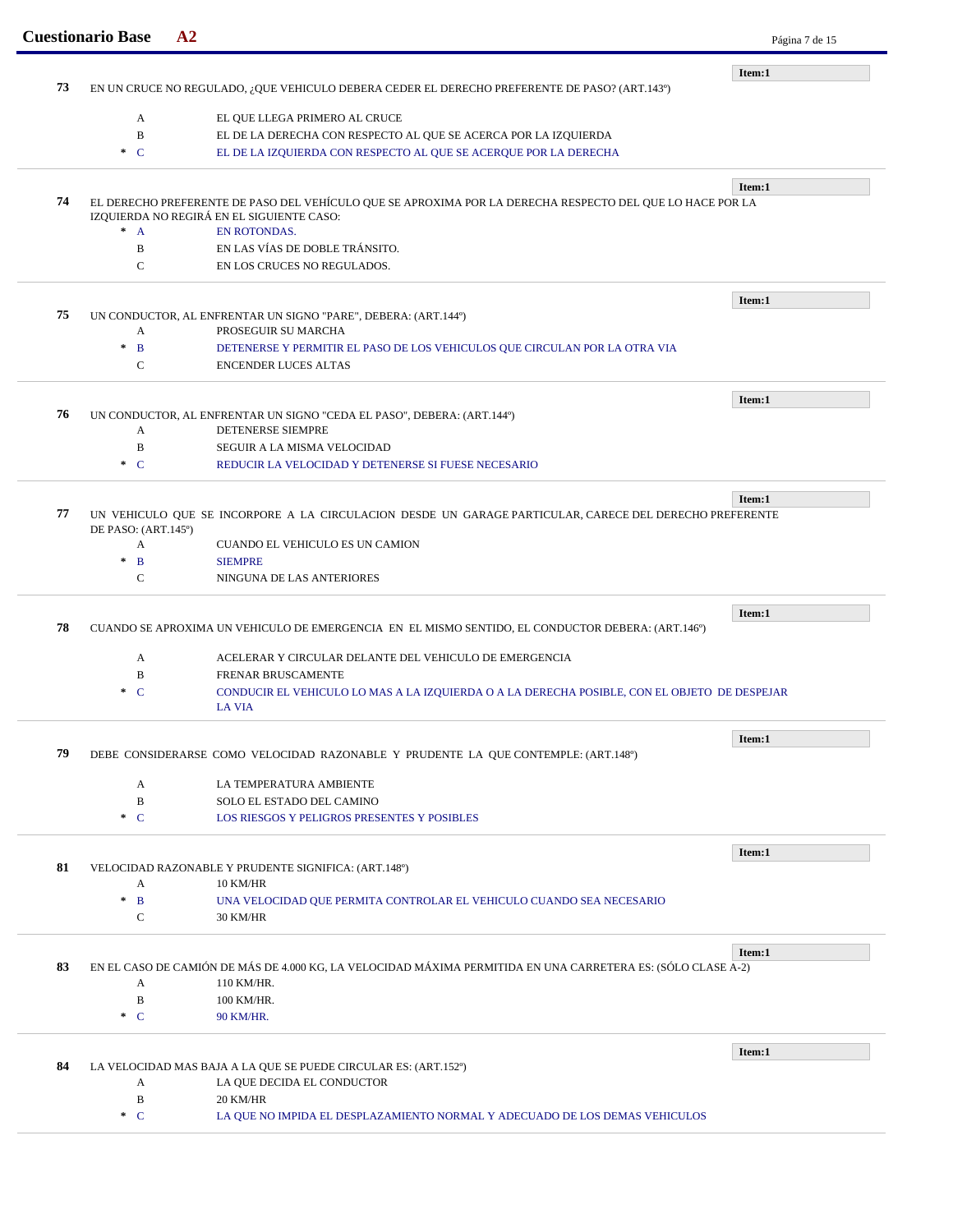|    | <b>Cuestionario Base</b>                                                                      | A <sub>2</sub>                                                                                                             | Página 7 de 15 |  |
|----|-----------------------------------------------------------------------------------------------|----------------------------------------------------------------------------------------------------------------------------|----------------|--|
|    |                                                                                               |                                                                                                                            | Item:1         |  |
| 73 | EN UN CRUCE NO REGULADO, ¿QUE VEHICULO DEBERA CEDER EL DERECHO PREFERENTE DE PASO? (ART.143º) |                                                                                                                            |                |  |
|    |                                                                                               |                                                                                                                            |                |  |
|    | A                                                                                             | EL QUE LLEGA PRIMERO AL CRUCE                                                                                              |                |  |
|    | B                                                                                             | EL DE LA DERECHA CON RESPECTO AL QUE SE ACERCA POR LA IZQUIERDA                                                            |                |  |
|    | $\ast$ C                                                                                      | EL DE LA IZQUIERDA CON RESPECTO AL QUE SE ACERQUE POR LA DERECHA                                                           |                |  |
| 74 |                                                                                               | EL DERECHO PREFERENTE DE PASO DEL VEHÍCULO QUE SE APROXIMA POR LA DERECHA RESPECTO DEL QUE LO HACE POR LA                  | Item:1         |  |
|    |                                                                                               | IZQUIERDA NO REGIRÁ EN EL SIGUIENTE CASO:                                                                                  |                |  |
|    | $^*$ A                                                                                        | <b>EN ROTONDAS.</b>                                                                                                        |                |  |
|    | $\, {\bf B}$                                                                                  | EN LAS VÍAS DE DOBLE TRÁNSITO.                                                                                             |                |  |
|    | $\mathbf C$                                                                                   | EN LOS CRUCES NO REGULADOS.                                                                                                |                |  |
|    |                                                                                               |                                                                                                                            | Item:1         |  |
| 75 |                                                                                               | UN CONDUCTOR, AL ENFRENTAR UN SIGNO "PARE", DEBERA: (ART.144º)                                                             |                |  |
|    | A<br>$\mathbf{B}$<br>$\pm$                                                                    | PROSEGUIR SU MARCHA                                                                                                        |                |  |
|    |                                                                                               | DETENERSE Y PERMITIR EL PASO DE LOS VEHICULOS QUE CIRCULAN POR LA OTRA VIA                                                 |                |  |
|    | C                                                                                             | <b>ENCENDER LUCES ALTAS</b>                                                                                                |                |  |
| 76 |                                                                                               | UN CONDUCTOR, AL ENFRENTAR UN SIGNO "CEDA EL PASO", DEBERA: (ART.144º)                                                     | Item:1         |  |
|    | A                                                                                             | DETENERSE SIEMPRE                                                                                                          |                |  |
|    | B                                                                                             | SEGUIR A LA MISMA VELOCIDAD                                                                                                |                |  |
|    | $\ast$ C                                                                                      | REDUCIR LA VELOCIDAD Y DETENERSE SI FUESE NECESARIO                                                                        |                |  |
|    |                                                                                               |                                                                                                                            |                |  |
|    |                                                                                               |                                                                                                                            | Item:1         |  |
| 77 | DE PASO: (ART.145°)                                                                           | UN VEHICULO QUE SE INCORPORE A LA CIRCULACION DESDE UN GARAGE PARTICULAR, CARECE DEL DERECHO PREFERENTE                    |                |  |
|    | A                                                                                             | CUANDO EL VEHICULO ES UN CAMION                                                                                            |                |  |
|    | $\mathbf{B}$<br>$\ast$                                                                        | <b>SIEMPRE</b>                                                                                                             |                |  |
|    | C                                                                                             | NINGUNA DE LAS ANTERIORES                                                                                                  |                |  |
|    |                                                                                               |                                                                                                                            |                |  |
| 78 |                                                                                               | CUANDO SE APROXIMA UN VEHICULO DE EMERGENCIA EN EL MISMO SENTIDO, EL CONDUCTOR DEBERA: (ART.146°)                          | Item:1         |  |
|    |                                                                                               |                                                                                                                            |                |  |
|    | A                                                                                             | ACELERAR Y CIRCULAR DELANTE DEL VEHICULO DE EMERGENCIA                                                                     |                |  |
|    | B                                                                                             | FRENAR BRUSCAMENTE                                                                                                         |                |  |
|    | $\mathbf{C}$<br>$\pm$                                                                         | CONDUCIR EL VEHICULO LO MAS A LA IZQUIERDA O A LA DERECHA POSIBLE, CON EL OBJETO DE DESPEJAR                               |                |  |
|    |                                                                                               | <b>LA VIA</b>                                                                                                              |                |  |
|    |                                                                                               |                                                                                                                            | Item:1         |  |
| 79 |                                                                                               | DEBE CONSIDERARSE COMO VELOCIDAD RAZONABLE Y PRUDENTE LA QUE CONTEMPLE: (ART.148°)                                         |                |  |
|    | A                                                                                             | LA TEMPERATURA AMBIENTE                                                                                                    |                |  |
|    | $\, {\bf B}$                                                                                  | SOLO EL ESTADO DEL CAMINO                                                                                                  |                |  |
|    | $\ast$ C                                                                                      | <b>LOS RIESGOS Y PELIGROS PRESENTES Y POSIBLES</b>                                                                         |                |  |
|    |                                                                                               |                                                                                                                            |                |  |
|    |                                                                                               |                                                                                                                            | Item:1         |  |
| 81 |                                                                                               | VELOCIDAD RAZONABLE Y PRUDENTE SIGNIFICA: (ART.148°)                                                                       |                |  |
|    | A<br>$\ast$                                                                                   | <b>10 KM/HR</b>                                                                                                            |                |  |
|    | $\mathbf{B}$                                                                                  | UNA VELOCIDAD QUE PERMITA CONTROLAR EL VEHICULO CUANDO SEA NECESARIO                                                       |                |  |
|    | $\mathbf C$                                                                                   | 30 KM/HR                                                                                                                   |                |  |
|    |                                                                                               |                                                                                                                            | Item:1         |  |
| 83 | A                                                                                             | EN EL CASO DE CAMIÓN DE MÁS DE 4.000 KG, LA VELOCIDAD MÁXIMA PERMITIDA EN UNA CARRETERA ES: (SÓLO CLASE A-2)<br>110 KM/HR. |                |  |
|    |                                                                                               |                                                                                                                            |                |  |
|    | B                                                                                             | 100 KM/HR.                                                                                                                 |                |  |
|    | $C^*$                                                                                         | 90 KM/HR.                                                                                                                  |                |  |
|    |                                                                                               |                                                                                                                            |                |  |
|    | Item:1                                                                                        |                                                                                                                            |                |  |
|    |                                                                                               | LA VELOCIDAD MAS BAJA A LA QUE SE PUEDE CIRCULAR ES: (ART.152º)                                                            |                |  |
|    | A                                                                                             | LA QUE DECIDA EL CONDUCTOR                                                                                                 |                |  |
| 84 | $\, {\bf B}$<br>$\ast$ C                                                                      | 20 KM/HR                                                                                                                   |                |  |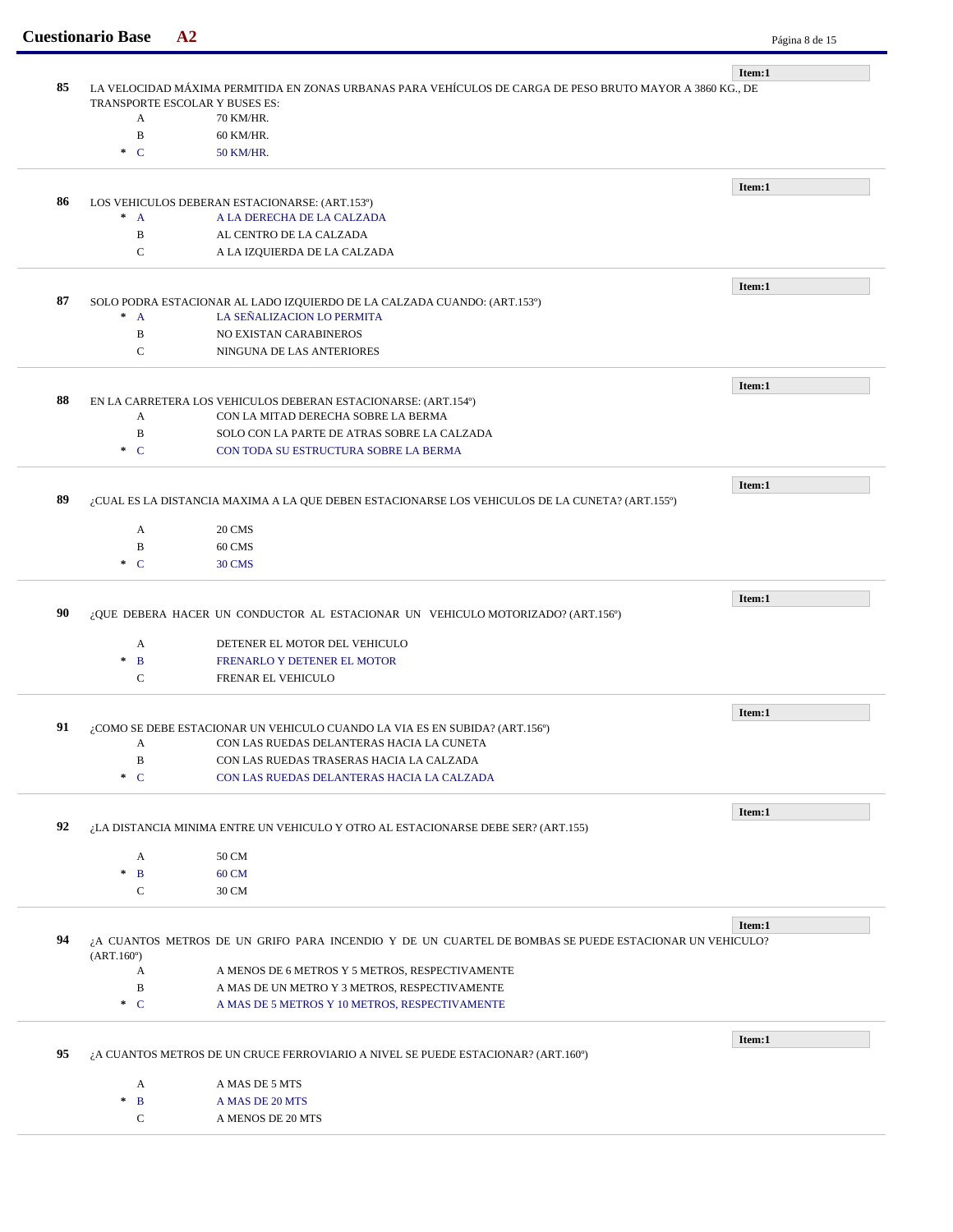|    | <b>Cuestionario Base</b>                                                        | A2                                                                                                        | Página 8 de 15 |
|----|---------------------------------------------------------------------------------|-----------------------------------------------------------------------------------------------------------|----------------|
|    |                                                                                 |                                                                                                           |                |
| 85 |                                                                                 | LA VELOCIDAD MÁXIMA PERMITIDA EN ZONAS URBANAS PARA VEHÍCULOS DE CARGA DE PESO BRUTO MAYOR A 3860 KG., DE | Item:1         |
|    |                                                                                 | TRANSPORTE ESCOLAR Y BUSES ES:                                                                            |                |
|    | A                                                                               | 70 KM/HR.                                                                                                 |                |
|    | B                                                                               | 60 KM/HR.                                                                                                 |                |
|    | $\cdot$ C                                                                       | 50 KM/HR.                                                                                                 |                |
|    |                                                                                 |                                                                                                           |                |
|    |                                                                                 |                                                                                                           | Item:1         |
| 86 |                                                                                 | LOS VEHICULOS DEBERAN ESTACIONARSE: (ART.153º)                                                            |                |
|    | $^*$ A                                                                          | A LA DERECHA DE LA CALZADA<br>AL CENTRO DE LA CALZADA                                                     |                |
|    | $\, {\bf B}$<br>$\mathbf C$                                                     |                                                                                                           |                |
|    |                                                                                 | A LA IZQUIERDA DE LA CALZADA                                                                              |                |
|    |                                                                                 |                                                                                                           | Item:1         |
| 87 |                                                                                 | SOLO PODRA ESTACIONAR AL LADO IZQUIERDO DE LA CALZADA CUANDO: (ART.153º)                                  |                |
|    | $^*$ A                                                                          | LA SEÑALIZACION LO PERMITA                                                                                |                |
|    | $\, {\bf B}$                                                                    | NO EXISTAN CARABINEROS                                                                                    |                |
|    | $\mathsf{C}$                                                                    | NINGUNA DE LAS ANTERIORES                                                                                 |                |
|    |                                                                                 |                                                                                                           |                |
|    |                                                                                 |                                                                                                           | Item:1         |
| 88 | A                                                                               | EN LA CARRETERA LOS VEHICULOS DEBERAN ESTACIONARSE: (ART.154º)<br>CON LA MITAD DERECHA SOBRE LA BERMA     |                |
|    | $\, {\bf B}$                                                                    | SOLO CON LA PARTE DE ATRAS SOBRE LA CALZADA                                                               |                |
|    | $C^*$                                                                           | CON TODA SU ESTRUCTURA SOBRE LA BERMA                                                                     |                |
|    |                                                                                 |                                                                                                           |                |
|    |                                                                                 |                                                                                                           | Item:1         |
| 89 |                                                                                 | ¿CUAL ES LA DISTANCIA MAXIMA A LA QUE DEBEN ESTACIONARSE LOS VEHICULOS DE LA CUNETA? (ART.155º)           |                |
|    |                                                                                 |                                                                                                           |                |
|    | A<br>$\, {\bf B}$                                                               | 20 CMS<br>60 CMS                                                                                          |                |
|    | $C^*$                                                                           | 30 CMS                                                                                                    |                |
|    |                                                                                 |                                                                                                           |                |
|    |                                                                                 |                                                                                                           | Item:1         |
| 90 | ¿QUE DEBERA HACER UN CONDUCTOR AL ESTACIONAR UN VEHICULO MOTORIZADO? (ART.156°) |                                                                                                           |                |
|    |                                                                                 |                                                                                                           |                |
|    | A                                                                               | DETENER EL MOTOR DEL VEHICULO                                                                             |                |
|    | $\ast$<br>$\mathbf{B}$                                                          | FRENARLO Y DETENER EL MOTOR                                                                               |                |
|    | $\mathsf{C}$                                                                    | FRENAR EL VEHICULO                                                                                        |                |
|    |                                                                                 |                                                                                                           | Item:1         |
| 91 |                                                                                 | ¿COMO SE DEBE ESTACIONAR UN VEHICULO CUANDO LA VIA ES EN SUBIDA? (ART.156°)                               |                |
|    | A                                                                               | CON LAS RUEDAS DELANTERAS HACIA LA CUNETA                                                                 |                |
|    | $\, {\bf B}$                                                                    | CON LAS RUEDAS TRASERAS HACIA LA CALZADA                                                                  |                |
|    | $\ast$ C                                                                        | CON LAS RUEDAS DELANTERAS HACIA LA CALZADA                                                                |                |
|    |                                                                                 |                                                                                                           |                |
|    |                                                                                 |                                                                                                           | Item:1         |
| 92 |                                                                                 | ¿LA DISTANCIA MINIMA ENTRE UN VEHICULO Y OTRO AL ESTACIONARSE DEBE SER? (ART.155)                         |                |
|    | A                                                                               | 50 CM                                                                                                     |                |
|    | $\mathbf{B}$<br>$\ast$                                                          | 60 CM                                                                                                     |                |
|    | C                                                                               | 30 CM                                                                                                     |                |
|    |                                                                                 |                                                                                                           |                |
|    |                                                                                 |                                                                                                           | Item:1         |
| 94 | (ART.160)                                                                       | ¿A CUANTOS METROS DE UN GRIFO PARA INCENDIO Y DE UN CUARTEL DE BOMBAS SE PUEDE ESTACIONAR UN VEHICULO?    |                |
|    | A                                                                               | A MENOS DE 6 METROS Y 5 METROS, RESPECTIVAMENTE                                                           |                |
|    | $\, {\bf B}$                                                                    | A MAS DE UN METRO Y 3 METROS, RESPECTIVAMENTE                                                             |                |
|    | $\cdot$ C                                                                       | A MAS DE 5 METROS Y 10 METROS, RESPECTIVAMENTE                                                            |                |
|    |                                                                                 |                                                                                                           |                |
|    |                                                                                 |                                                                                                           | Item:1         |
| 95 |                                                                                 | ¿A CUANTOS METROS DE UN CRUCE FERROVIARIO A NIVEL SE PUEDE ESTACIONAR? (ART.160°)                         |                |
|    | A                                                                               | A MAS DE 5 MTS                                                                                            |                |
|    | $\, {\bf B}$<br>$\ast$                                                          | A MAS DE 20 MTS                                                                                           |                |
|    | $\mathbf C$                                                                     | A MENOS DE 20 MTS                                                                                         |                |
|    |                                                                                 |                                                                                                           |                |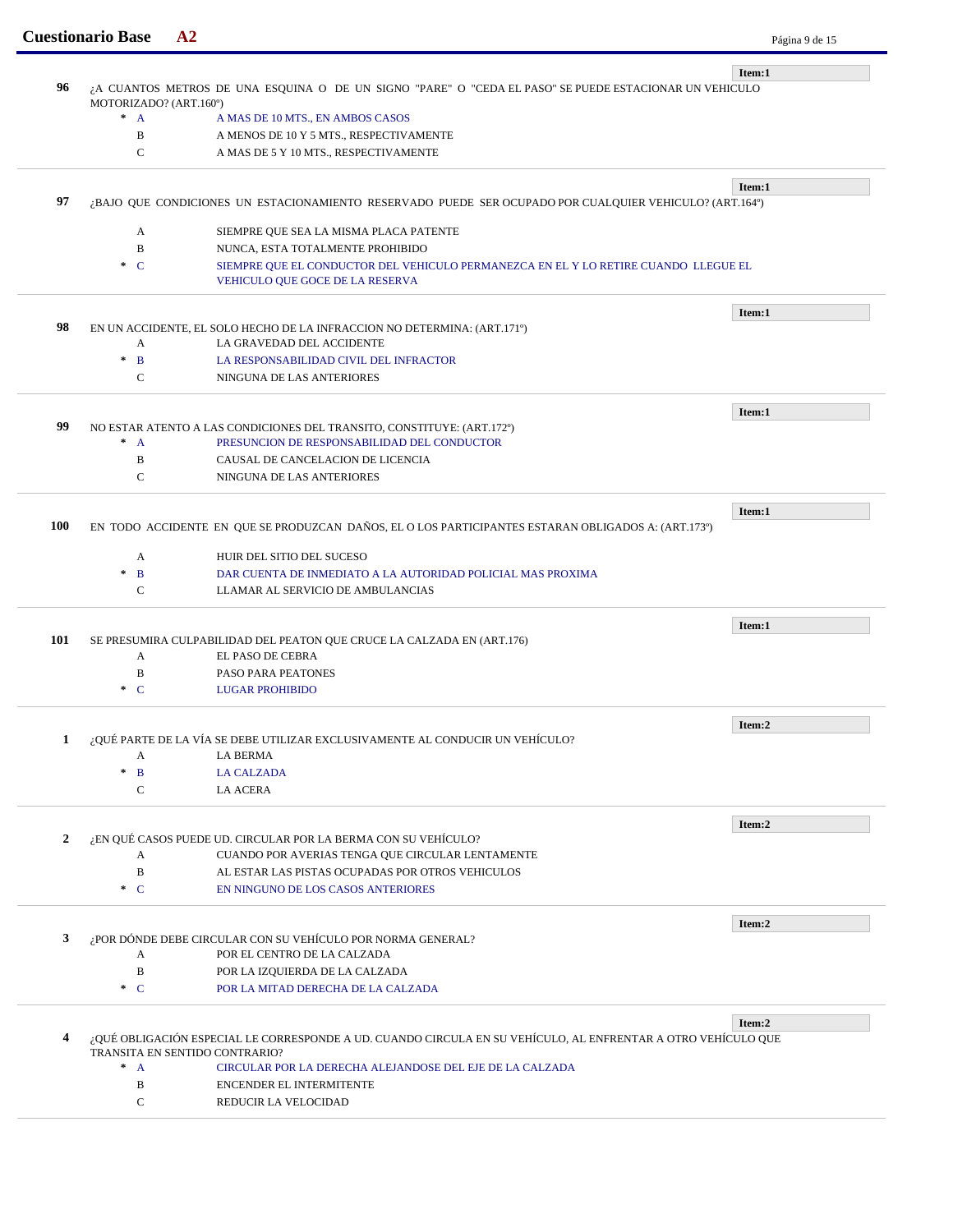|              | <b>Cuestionario Base</b>                                                                                                        | A <sub>2</sub>                                                                                                                                  | Página 9 de 15 |  |  |  |
|--------------|---------------------------------------------------------------------------------------------------------------------------------|-------------------------------------------------------------------------------------------------------------------------------------------------|----------------|--|--|--|
|              |                                                                                                                                 |                                                                                                                                                 | Item:1         |  |  |  |
| 96           | A CUANTOS METROS DE UNA ESQUINA O DE UN SIGNO "PARE" O "CEDA EL PASO" SE PUEDE ESTACIONAR UN VEHICULO<br>MOTORIZADO? (ART.160°) |                                                                                                                                                 |                |  |  |  |
|              | $^*$ A<br>A MAS DE 10 MTS., EN AMBOS CASOS                                                                                      |                                                                                                                                                 |                |  |  |  |
|              | B                                                                                                                               | A MENOS DE 10 Y 5 MTS., RESPECTIVAMENTE                                                                                                         |                |  |  |  |
|              | C                                                                                                                               | A MAS DE 5 Y 10 MTS., RESPECTIVAMENTE                                                                                                           |                |  |  |  |
|              |                                                                                                                                 |                                                                                                                                                 |                |  |  |  |
| 97           |                                                                                                                                 | BAJO QUE CONDICIONES UN ESTACIONAMIENTO RESERVADO PUEDE SER OCUPADO POR CUALQUIER VEHICULO? (ART.164º)                                          | Item:1         |  |  |  |
|              | A                                                                                                                               | SIEMPRE QUE SEA LA MISMA PLACA PATENTE                                                                                                          |                |  |  |  |
|              | $\, {\bf B}$                                                                                                                    | NUNCA, ESTA TOTALMENTE PROHIBIDO                                                                                                                |                |  |  |  |
|              | $\cdot$ C                                                                                                                       | SIEMPRE QUE EL CONDUCTOR DEL VEHICULO PERMANEZCA EN EL Y LO RETIRE CUANDO LLEGUE EL<br>VEHICULO QUE GOCE DE LA RESERVA                          |                |  |  |  |
|              |                                                                                                                                 |                                                                                                                                                 | Item:1         |  |  |  |
| 98           |                                                                                                                                 | EN UN ACCIDENTE, EL SOLO HECHO DE LA INFRACCION NO DETERMINA: (ART.171º)                                                                        |                |  |  |  |
|              | A                                                                                                                               | LA GRAVEDAD DEL ACCIDENTE                                                                                                                       |                |  |  |  |
|              | $\ast$<br>$\mathbf{B}$                                                                                                          | LA RESPONSABILIDAD CIVIL DEL INFRACTOR                                                                                                          |                |  |  |  |
|              | $\mathbf C$                                                                                                                     | NINGUNA DE LAS ANTERIORES                                                                                                                       |                |  |  |  |
|              |                                                                                                                                 |                                                                                                                                                 | Item:1         |  |  |  |
| 99           |                                                                                                                                 | NO ESTAR ATENTO A LAS CONDICIONES DEL TRANSITO, CONSTITUYE: (ART.172º)                                                                          |                |  |  |  |
|              | $^*$ A                                                                                                                          | PRESUNCION DE RESPONSABILIDAD DEL CONDUCTOR                                                                                                     |                |  |  |  |
|              | B                                                                                                                               | CAUSAL DE CANCELACION DE LICENCIA                                                                                                               |                |  |  |  |
|              | $\mathcal{C}$                                                                                                                   | NINGUNA DE LAS ANTERIORES                                                                                                                       |                |  |  |  |
|              | Item:1                                                                                                                          |                                                                                                                                                 |                |  |  |  |
| <b>100</b>   | EN TODO ACCIDENTE EN QUE SE PRODUZCAN DAÑOS, EL O LOS PARTICIPANTES ESTARAN OBLIGADOS A: (ART.173º)                             |                                                                                                                                                 |                |  |  |  |
|              | A                                                                                                                               | HUIR DEL SITIO DEL SUCESO                                                                                                                       |                |  |  |  |
|              | $\pm$<br>B                                                                                                                      | DAR CUENTA DE INMEDIATO A LA AUTORIDAD POLICIAL MAS PROXIMA                                                                                     |                |  |  |  |
|              | C                                                                                                                               | LLAMAR AL SERVICIO DE AMBULANCIAS                                                                                                               |                |  |  |  |
|              |                                                                                                                                 |                                                                                                                                                 | Item:1         |  |  |  |
| 101          |                                                                                                                                 | SE PRESUMIRA CULPABILIDAD DEL PEATON QUE CRUCE LA CALZADA EN (ART.176)                                                                          |                |  |  |  |
|              | A                                                                                                                               | EL PASO DE CEBRA                                                                                                                                |                |  |  |  |
|              | B                                                                                                                               | PASO PARA PEATONES                                                                                                                              |                |  |  |  |
|              | $\ast$ C                                                                                                                        | <b>LUGAR PROHIBIDO</b>                                                                                                                          |                |  |  |  |
|              |                                                                                                                                 |                                                                                                                                                 | Item:2         |  |  |  |
| 1            |                                                                                                                                 | ¿QUÉ PARTE DE LA VÍA SE DEBE UTILIZAR EXCLUSIVAMENTE AL CONDUCIR UN VEHÍCULO?                                                                   |                |  |  |  |
|              | А                                                                                                                               | LA BERMA                                                                                                                                        |                |  |  |  |
|              | $*$ B<br>$\mathsf{C}$                                                                                                           | <b>LA CALZADA</b><br><b>LA ACERA</b>                                                                                                            |                |  |  |  |
|              |                                                                                                                                 |                                                                                                                                                 |                |  |  |  |
|              |                                                                                                                                 |                                                                                                                                                 | Item:2         |  |  |  |
| $\mathbf{2}$ | A                                                                                                                               | EN QUÉ CASOS PUEDE UD. CIRCULAR POR LA BERMA CON SU VEHÍCULO?<br>CUANDO POR AVERIAS TENGA QUE CIRCULAR LENTAMENTE                               |                |  |  |  |
|              | $\mathbf B$                                                                                                                     | AL ESTAR LAS PISTAS OCUPADAS POR OTROS VEHICULOS                                                                                                |                |  |  |  |
|              | $C^*$                                                                                                                           | EN NINGUNO DE LOS CASOS ANTERIORES                                                                                                              |                |  |  |  |
|              |                                                                                                                                 |                                                                                                                                                 |                |  |  |  |
|              |                                                                                                                                 |                                                                                                                                                 | Item:2         |  |  |  |
| 3            | A                                                                                                                               | ¿POR DÓNDE DEBE CIRCULAR CON SU VEHÍCULO POR NORMA GENERAL?<br>POR EL CENTRO DE LA CALZADA                                                      |                |  |  |  |
|              | B                                                                                                                               |                                                                                                                                                 |                |  |  |  |
|              | $\ast$ C                                                                                                                        | POR LA IZQUIERDA DE LA CALZADA<br>POR LA MITAD DERECHA DE LA CALZADA                                                                            |                |  |  |  |
|              |                                                                                                                                 |                                                                                                                                                 |                |  |  |  |
|              |                                                                                                                                 |                                                                                                                                                 | Item:2         |  |  |  |
| 4            |                                                                                                                                 | ¿QUÉ OBLIGACIÓN ESPECIAL LE CORRESPONDE A UD. CUANDO CIRCULA EN SU VEHÍCULO, AL ENFRENTAR A OTRO VEHÍCULO QUE<br>TRANSITA EN SENTIDO CONTRARIO? |                |  |  |  |
|              | $* A$                                                                                                                           | CIRCULAR POR LA DERECHA ALEJANDOSE DEL EJE DE LA CALZADA                                                                                        |                |  |  |  |
|              | B                                                                                                                               | ENCENDER EL INTERMITENTE                                                                                                                        |                |  |  |  |
|              |                                                                                                                                 |                                                                                                                                                 |                |  |  |  |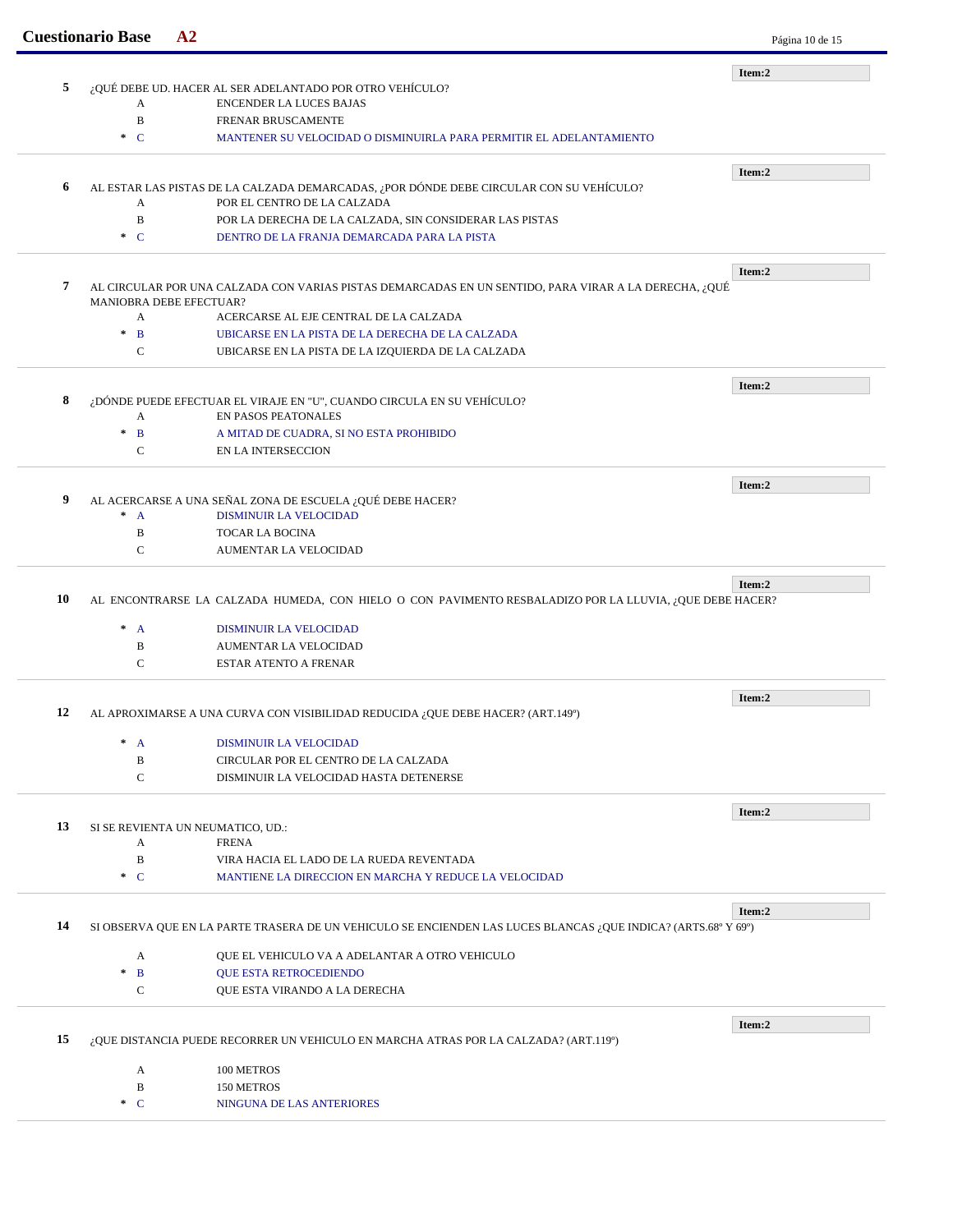|    | <b>Cuestionario Base</b>  | A2                                                                                                             | Página 10 de 15 |
|----|---------------------------|----------------------------------------------------------------------------------------------------------------|-----------------|
|    |                           |                                                                                                                | Item:2          |
| 5  | A                         | ¿QUÉ DEBE UD. HACER AL SER ADELANTADO POR OTRO VEHÍCULO?<br><b>ENCENDER LA LUCES BAJAS</b>                     |                 |
|    | B                         | FRENAR BRUSCAMENTE                                                                                             |                 |
|    | $C^*$                     | MANTENER SU VELOCIDAD O DISMINUIRLA PARA PERMITIR EL ADELANTAMIENTO                                            |                 |
|    |                           |                                                                                                                |                 |
|    |                           |                                                                                                                | Item:2          |
| 6  |                           | AL ESTAR LAS PISTAS DE LA CALZADA DEMARCADAS, ¿POR DÓNDE DEBE CIRCULAR CON SU VEHÍCULO?                        |                 |
|    | A<br>$\mathbf B$          | POR EL CENTRO DE LA CALZADA                                                                                    |                 |
|    | $C^*$                     | POR LA DERECHA DE LA CALZADA, SIN CONSIDERAR LAS PISTAS<br>DENTRO DE LA FRANJA DEMARCADA PARA LA PISTA         |                 |
|    |                           |                                                                                                                |                 |
|    |                           |                                                                                                                | Item:2          |
| 7  |                           | AL CIRCULAR POR UNA CALZADA CON VARIAS PISTAS DEMARCADAS EN UN SENTIDO, PARA VIRAR A LA DERECHA, ¿QUÉ          |                 |
|    | MANIOBRA DEBE EFECTUAR?   |                                                                                                                |                 |
|    | A                         | ACERCARSE AL EJE CENTRAL DE LA CALZADA                                                                         |                 |
|    | $\pm$<br>$\mathbf{B}$     | UBICARSE EN LA PISTA DE LA DERECHA DE LA CALZADA                                                               |                 |
|    | $\mathbf C$               | UBICARSE EN LA PISTA DE LA IZQUIERDA DE LA CALZADA                                                             |                 |
|    |                           |                                                                                                                | Item:2          |
| 8  |                           | ¿DÓNDE PUEDE EFECTUAR EL VIRAJE EN "U", CUANDO CIRCULA EN SU VEHÍCULO?                                         |                 |
|    | A                         | EN PASOS PEATONALES                                                                                            |                 |
|    | $\mathbf{B}$<br>$\pm$     | A MITAD DE CUADRA, SI NO ESTA PROHIBIDO                                                                        |                 |
|    | $\mathsf{C}$              | <b>EN LA INTERSECCION</b>                                                                                      |                 |
|    |                           |                                                                                                                | Item:2          |
| 9  |                           | AL ACERCARSE A UNA SEÑAL ZONA DE ESCUELA ¿QUÉ DEBE HACER?                                                      |                 |
|    | $\pm$<br>$\mathbf{A}$     | <b>DISMINUIR LA VELOCIDAD</b>                                                                                  |                 |
|    | B                         | <b>TOCAR LA BOCINA</b>                                                                                         |                 |
|    | $\mathbf C$               | AUMENTAR LA VELOCIDAD                                                                                          |                 |
|    |                           |                                                                                                                |                 |
| 10 |                           | AL ENCONTRARSE LA CALZADA HUMEDA, CON HIELO O CON PAVIMENTO RESBALADIZO POR LA LLUVIA, ¿QUE DEBE HACER?        | Item:2          |
|    |                           |                                                                                                                |                 |
|    | $\ast$<br>$\mathbf{A}$    | DISMINUIR LA VELOCIDAD                                                                                         |                 |
|    | $\, {\bf B}$              | <b>AUMENTAR LA VELOCIDAD</b>                                                                                   |                 |
|    | $\mathbf C$               | ESTAR ATENTO A FRENAR                                                                                          |                 |
|    |                           |                                                                                                                | Item:2          |
| 12 |                           | AL APROXIMARSE A UNA CURVA CON VISIBILIDAD REDUCIDA ¿QUE DEBE HACER? (ART.149°)                                |                 |
|    |                           |                                                                                                                |                 |
|    | $^*$ A<br>B               | DISMINUIR LA VELOCIDAD<br>CIRCULAR POR EL CENTRO DE LA CALZADA                                                 |                 |
|    | $\mathbf C$               | DISMINUIR LA VELOCIDAD HASTA DETENERSE                                                                         |                 |
|    |                           |                                                                                                                |                 |
|    |                           |                                                                                                                | Item:2          |
| 13 |                           | SI SE REVIENTA UN NEUMATICO, UD.:                                                                              |                 |
|    | A                         | <b>FRENA</b>                                                                                                   |                 |
|    | B                         | VIRA HACIA EL LADO DE LA RUEDA REVENTADA                                                                       |                 |
|    | $\ast$ C                  | MANTIENE LA DIRECCION EN MARCHA Y REDUCE LA VELOCIDAD                                                          |                 |
|    |                           |                                                                                                                | Item:2          |
| 14 |                           | SI OBSERVA QUE EN LA PARTE TRASERA DE UN VEHICULO SE ENCIENDEN LAS LUCES BLANCAS ¿QUE INDICA? (ARTS.68º Y 69º) |                 |
|    |                           |                                                                                                                |                 |
|    | A<br>$\mathbf B$<br>$\pm$ | QUE EL VEHICULO VA A ADELANTAR A OTRO VEHICULO<br>QUE ESTA RETROCEDIENDO                                       |                 |
|    | C                         | QUE ESTA VIRANDO A LA DERECHA                                                                                  |                 |
|    |                           |                                                                                                                |                 |
|    |                           |                                                                                                                | Item:2          |
| 15 |                           | ¿QUE DISTANCIA PUEDE RECORRER UN VEHICULO EN MARCHA ATRAS POR LA CALZADA? (ART.119º)                           |                 |
|    |                           | 100 METROS                                                                                                     |                 |
|    | A                         |                                                                                                                |                 |
|    | B                         | 150 METROS                                                                                                     |                 |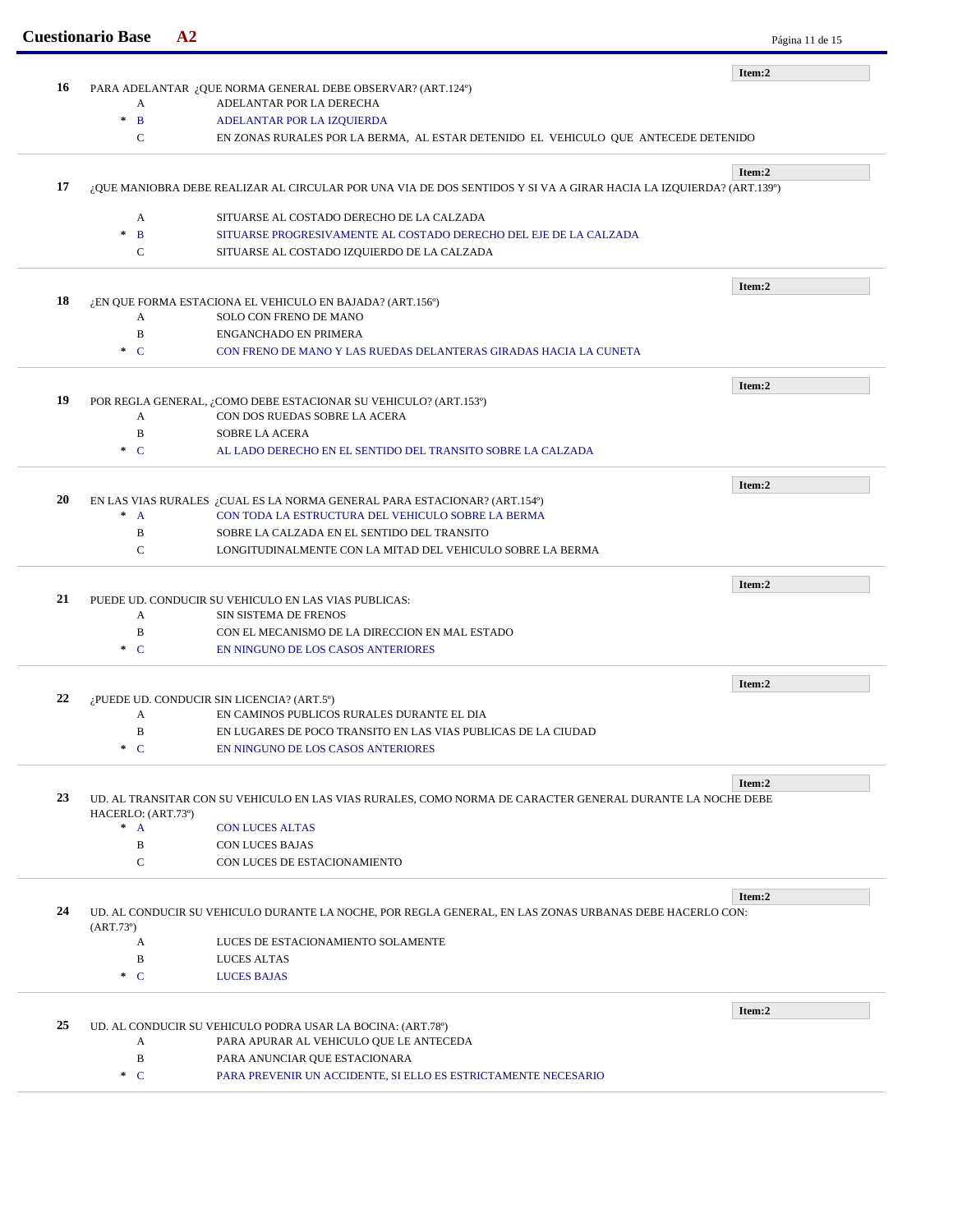|    | <b>Cuestionario Base</b> | A2                                                                                                                 | Página 11 de 15 |
|----|--------------------------|--------------------------------------------------------------------------------------------------------------------|-----------------|
|    |                          |                                                                                                                    | Item:2          |
| 16 | A                        | PARA ADELANTAR ¿QUE NORMA GENERAL DEBE OBSERVAR? (ART.124º)<br>ADELANTAR POR LA DERECHA                            |                 |
|    | $\mathbf{B}$<br>$\pm$    | ADELANTAR POR LA IZQUIERDA                                                                                         |                 |
|    | $\mathbf C$              | EN ZONAS RURALES POR LA BERMA, AL ESTAR DETENIDO EL VEHICULO QUE ANTECEDE DETENIDO                                 |                 |
|    |                          |                                                                                                                    |                 |
| 17 |                          | ¿QUE MANIOBRA DEBE REALIZAR AL CIRCULAR POR UNA VIA DE DOS SENTIDOS Y SI VA A GIRAR HACIA LA IZQUIERDA? (ART.139º) | Item:2          |
|    |                          |                                                                                                                    |                 |
|    | A<br>$\ast$              | SITUARSE AL COSTADO DERECHO DE LA CALZADA                                                                          |                 |
|    | $\mathbf B$              | SITUARSE PROGRESIVAMENTE AL COSTADO DERECHO DEL EJE DE LA CALZADA                                                  |                 |
|    | C                        | SITUARSE AL COSTADO IZQUIERDO DE LA CALZADA                                                                        |                 |
|    |                          |                                                                                                                    | Item:2          |
| 18 |                          | ¿EN QUE FORMA ESTACIONA EL VEHICULO EN BAJADA? (ART.156º)                                                          |                 |
|    | A                        | SOLO CON FRENO DE MANO                                                                                             |                 |
|    | B                        | <b>ENGANCHADO EN PRIMERA</b>                                                                                       |                 |
|    | $C^*$                    | CON FRENO DE MANO Y LAS RUEDAS DELANTERAS GIRADAS HACIA LA CUNETA                                                  |                 |
|    |                          |                                                                                                                    | Item:2          |
| 19 |                          | POR REGLA GENERAL, ¿COMO DEBE ESTACIONAR SU VEHICULO? (ART.153º)                                                   |                 |
|    | A                        | CON DOS RUEDAS SOBRE LA ACERA                                                                                      |                 |
|    | $\mathbf B$              | <b>SOBRE LA ACERA</b>                                                                                              |                 |
|    | $\ast$ C                 | AL LADO DERECHO EN EL SENTIDO DEL TRANSITO SOBRE LA CALZADA                                                        |                 |
|    |                          |                                                                                                                    | Item:2          |
| 20 |                          | EN LAS VIAS RURALES ¿CUAL ES LA NORMA GENERAL PARA ESTACIONAR? (ART.154º)                                          |                 |
|    | $^*$ A                   | CON TODA LA ESTRUCTURA DEL VEHICULO SOBRE LA BERMA                                                                 |                 |
|    | B                        | SOBRE LA CALZADA EN EL SENTIDO DEL TRANSITO                                                                        |                 |
|    | $\mathbf C$              | LONGITUDINALMENTE CON LA MITAD DEL VEHICULO SOBRE LA BERMA                                                         |                 |
|    |                          |                                                                                                                    |                 |
|    |                          |                                                                                                                    | Item:2          |
| 21 |                          | PUEDE UD. CONDUCIR SU VEHICULO EN LAS VIAS PUBLICAS:                                                               |                 |
|    | А                        | SIN SISTEMA DE FRENOS                                                                                              |                 |
|    | B                        | CON EL MECANISMO DE LA DIRECCION EN MAL ESTADO                                                                     |                 |
|    | $C^*$                    | EN NINGUNO DE LOS CASOS ANTERIORES                                                                                 |                 |
|    |                          |                                                                                                                    | Item:2          |
| 22 |                          | ¿PUEDE UD. CONDUCIR SIN LICENCIA? (ART.5°)                                                                         |                 |
|    | A                        | EN CAMINOS PUBLICOS RURALES DURANTE EL DIA                                                                         |                 |
|    | B                        | EN LUGARES DE POCO TRANSITO EN LAS VIAS PUBLICAS DE LA CIUDAD                                                      |                 |
|    | $C^*$                    | EN NINGUNO DE LOS CASOS ANTERIORES                                                                                 |                 |
|    |                          |                                                                                                                    | Item:2          |
| 23 |                          | UD. AL TRANSITAR CON SU VEHICULO EN LAS VIAS RURALES, COMO NORMA DE CARACTER GENERAL DURANTE LA NOCHE DEBE         |                 |
|    | HACERLO: (ART.73º)       |                                                                                                                    |                 |
|    | $^*$ A                   | <b>CON LUCES ALTAS</b>                                                                                             |                 |
|    | B                        | <b>CON LUCES BAJAS</b>                                                                                             |                 |
|    | $\mathbf C$              | CON LUCES DE ESTACIONAMIENTO                                                                                       |                 |
|    |                          |                                                                                                                    | Item:2          |
| 24 |                          | UD. AL CONDUCIR SU VEHICULO DURANTE LA NOCHE, POR REGLA GENERAL, EN LAS ZONAS URBANAS DEBE HACERLO CON:            |                 |
|    | (ART.73 <sup>0</sup> )   |                                                                                                                    |                 |
|    | A                        | LUCES DE ESTACIONAMIENTO SOLAMENTE                                                                                 |                 |
|    | $\, {\bf B}$             | <b>LUCES ALTAS</b>                                                                                                 |                 |
|    | $\ast$ C                 | <b>LUCES BAJAS</b>                                                                                                 |                 |
|    |                          |                                                                                                                    | Item:2          |
| 25 |                          | UD. AL CONDUCIR SU VEHICULO PODRA USAR LA BOCINA: (ART.78°)                                                        |                 |
|    | A                        | PARA APURAR AL VEHICULO QUE LE ANTECEDA                                                                            |                 |
|    |                          |                                                                                                                    |                 |
|    | $\, {\bf B}$             | PARA ANUNCIAR QUE ESTACIONARA                                                                                      |                 |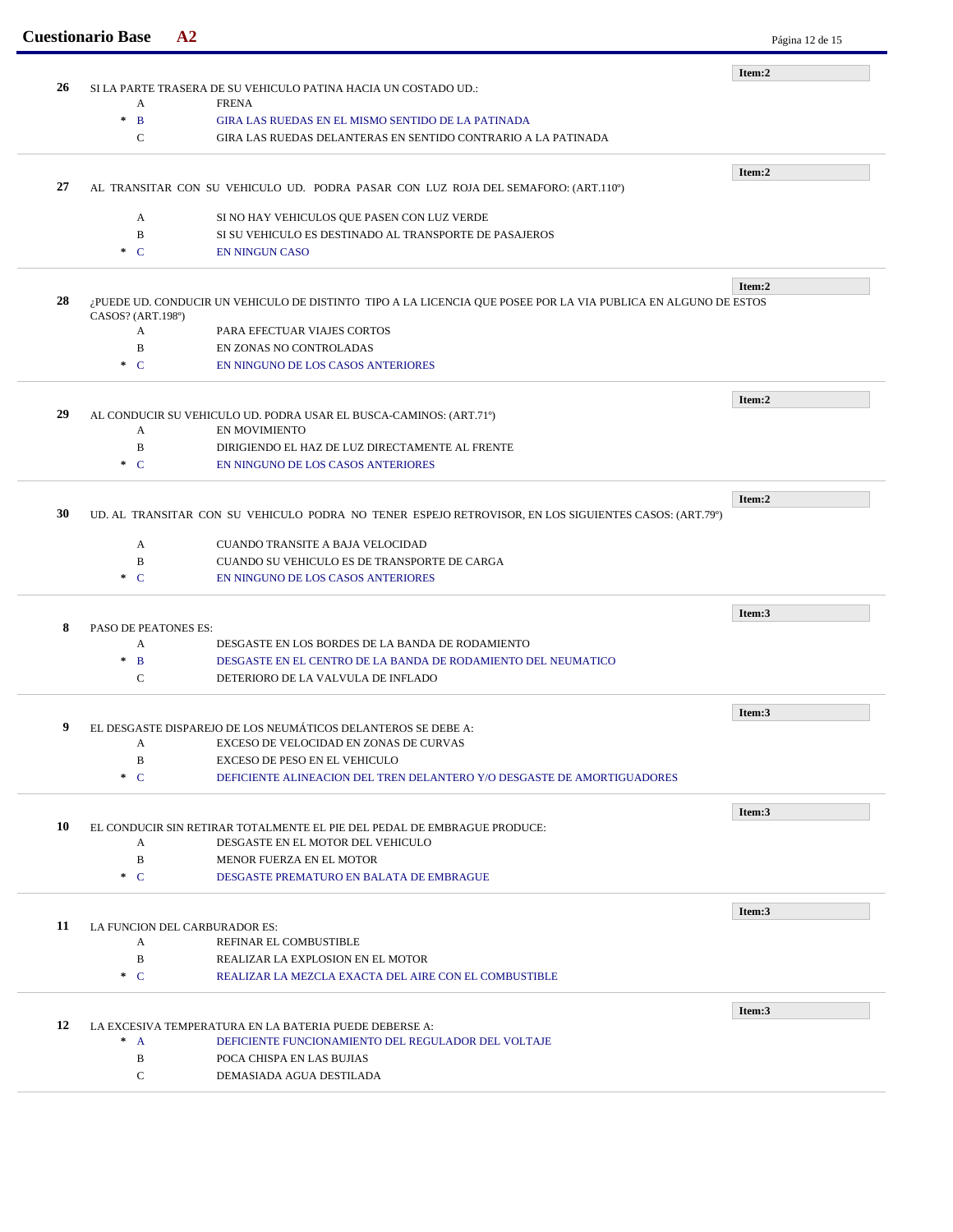|    | <b>Cuestionario Base</b>                                                                              | A <sub>2</sub>                                                                                                 | Página 12 de 15 |
|----|-------------------------------------------------------------------------------------------------------|----------------------------------------------------------------------------------------------------------------|-----------------|
|    |                                                                                                       |                                                                                                                | Item:2          |
| 26 | A                                                                                                     | SI LA PARTE TRASERA DE SU VEHICULO PATINA HACIA UN COSTADO UD.:<br><b>FRENA</b>                                |                 |
|    | $\mathcal{H}$<br>$\mathbf{B}$                                                                         | <b>GIRA LAS RUEDAS EN EL MISMO SENTIDO DE LA PATINADA</b>                                                      |                 |
|    | $\mathbf C$                                                                                           | GIRA LAS RUEDAS DELANTERAS EN SENTIDO CONTRARIO A LA PATINADA                                                  |                 |
|    |                                                                                                       |                                                                                                                |                 |
| 27 |                                                                                                       | AL TRANSITAR CON SU VEHICULO UD. PODRA PASAR CON LUZ ROJA DEL SEMAFORO: (ART.110°)                             | Item:2          |
|    |                                                                                                       |                                                                                                                |                 |
|    | A                                                                                                     | SI NO HAY VEHICULOS QUE PASEN CON LUZ VERDE                                                                    |                 |
|    | B<br>$\cdot$ C                                                                                        | SI SU VEHICULO ES DESTINADO AL TRANSPORTE DE PASAJEROS<br><b>EN NINGUN CASO</b>                                |                 |
|    |                                                                                                       |                                                                                                                |                 |
| 28 |                                                                                                       | ¿PUEDE UD. CONDUCIR UN VEHICULO DE DISTINTO TIPO A LA LICENCIA QUE POSEE POR LA VIA PUBLICA EN ALGUNO DE ESTOS | Item:2          |
|    | CASOS? (ART.198°)                                                                                     |                                                                                                                |                 |
|    | A                                                                                                     | PARA EFECTUAR VIAJES CORTOS                                                                                    |                 |
|    | B                                                                                                     | EN ZONAS NO CONTROLADAS                                                                                        |                 |
|    | $\cdot$ C                                                                                             | EN NINGUNO DE LOS CASOS ANTERIORES                                                                             |                 |
|    |                                                                                                       |                                                                                                                | Item:2          |
| 29 |                                                                                                       | AL CONDUCIR SU VEHICULO UD. PODRA USAR EL BUSCA-CAMINOS: (ART.71º)                                             |                 |
|    | A                                                                                                     | <b>EN MOVIMIENTO</b>                                                                                           |                 |
|    | $\, {\bf B}$                                                                                          | DIRIGIENDO EL HAZ DE LUZ DIRECTAMENTE AL FRENTE                                                                |                 |
|    | $\cdot$ C                                                                                             | EN NINGUNO DE LOS CASOS ANTERIORES                                                                             |                 |
|    |                                                                                                       |                                                                                                                | Item:2          |
| 30 | UD. AL TRANSITAR CON SU VEHICULO PODRA NO TENER ESPEJO RETROVISOR, EN LOS SIGUIENTES CASOS: (ART.79°) |                                                                                                                |                 |
|    | A                                                                                                     | CUANDO TRANSITE A BAJA VELOCIDAD                                                                               |                 |
|    | B                                                                                                     | CUANDO SU VEHICULO ES DE TRANSPORTE DE CARGA                                                                   |                 |
|    | $\cdot$ C                                                                                             | EN NINGUNO DE LOS CASOS ANTERIORES                                                                             |                 |
|    |                                                                                                       |                                                                                                                |                 |
| 8  | PASO DE PEATONES ES:                                                                                  |                                                                                                                | Item:3          |
|    | A                                                                                                     | DESGASTE EN LOS BORDES DE LA BANDA DE RODAMIENTO                                                               |                 |
|    | $\mathbf B$<br>$\ast$                                                                                 | DESGASTE EN EL CENTRO DE LA BANDA DE RODAMIENTO DEL NEUMATICO                                                  |                 |
|    | $\mathbf C$                                                                                           | DETERIORO DE LA VALVULA DE INFLADO                                                                             |                 |
|    |                                                                                                       |                                                                                                                | Item:3          |
| 9  |                                                                                                       | EL DESGASTE DISPAREJO DE LOS NEUMÁTICOS DELANTEROS SE DEBE A:                                                  |                 |
|    | A                                                                                                     | EXCESO DE VELOCIDAD EN ZONAS DE CURVAS                                                                         |                 |
|    | B                                                                                                     | EXCESO DE PESO EN EL VEHICULO                                                                                  |                 |
|    | $\ast$ C                                                                                              | DEFICIENTE ALINEACION DEL TREN DELANTERO Y/O DESGASTE DE AMORTIGUADORES                                        |                 |
|    |                                                                                                       |                                                                                                                | Item:3          |
| 10 |                                                                                                       | EL CONDUCIR SIN RETIRAR TOTALMENTE EL PIE DEL PEDAL DE EMBRAGUE PRODUCE:                                       |                 |
|    | A                                                                                                     | DESGASTE EN EL MOTOR DEL VEHICULO                                                                              |                 |
|    | B                                                                                                     | MENOR FUERZA EN EL MOTOR                                                                                       |                 |
|    | $\cdot$ C                                                                                             | DESGASTE PREMATURO EN BALATA DE EMBRAGUE                                                                       |                 |
|    |                                                                                                       |                                                                                                                | Item:3          |
| 11 |                                                                                                       | LA FUNCION DEL CARBURADOR ES:                                                                                  |                 |
|    | A                                                                                                     | REFINAR EL COMBUSTIBLE                                                                                         |                 |
|    | B                                                                                                     | REALIZAR LA EXPLOSION EN EL MOTOR                                                                              |                 |
|    | $\ast$ C                                                                                              | REALIZAR LA MEZCLA EXACTA DEL AIRE CON EL COMBUSTIBLE                                                          |                 |
|    |                                                                                                       |                                                                                                                | Item:3          |
| 12 |                                                                                                       | LA EXCESIVA TEMPERATURA EN LA BATERIA PUEDE DEBERSE A:                                                         |                 |
|    | $^*$ A<br>B                                                                                           | DEFICIENTE FUNCIONAMIENTO DEL REGULADOR DEL VOLTAJE<br>POCA CHISPA EN LAS BUJIAS                               |                 |
|    | $\mathbf C$                                                                                           | DEMASIADA AGUA DESTILADA                                                                                       |                 |
|    |                                                                                                       |                                                                                                                |                 |
|    |                                                                                                       |                                                                                                                |                 |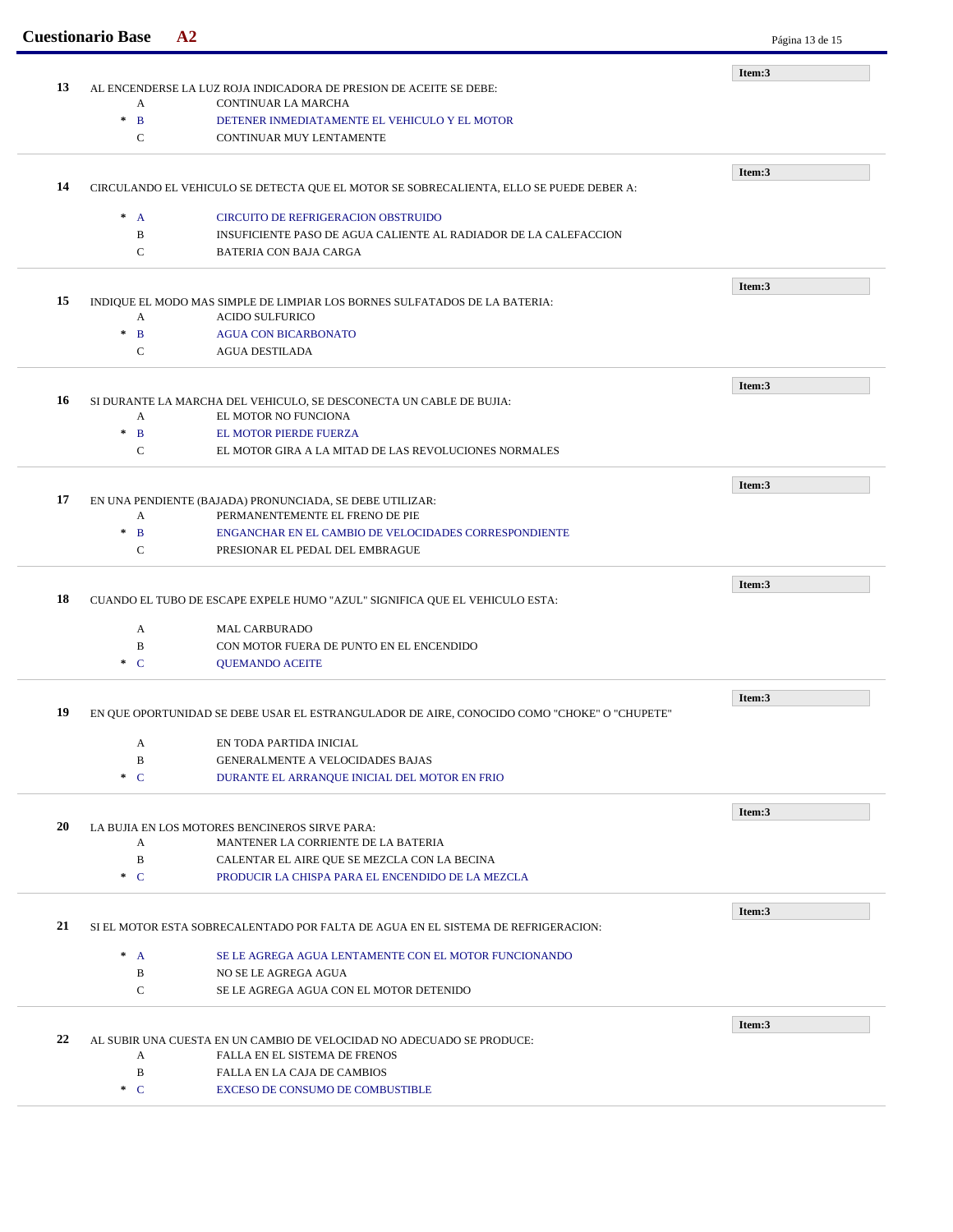|    | <b>Cuestionario Base</b>                                                                    | A2                                                                                                   | Página 13 de 15 |
|----|---------------------------------------------------------------------------------------------|------------------------------------------------------------------------------------------------------|-----------------|
|    |                                                                                             |                                                                                                      | Item:3          |
| 13 | A                                                                                           | AL ENCENDERSE LA LUZ ROJA INDICADORA DE PRESION DE ACEITE SE DEBE:<br>CONTINUAR LA MARCHA            |                 |
|    | $\ast$<br>$\mathbf{B}$                                                                      | DETENER INMEDIATAMENTE EL VEHICULO Y EL MOTOR                                                        |                 |
|    | $\mathbf C$                                                                                 | CONTINUAR MUY LENTAMENTE                                                                             |                 |
|    |                                                                                             |                                                                                                      |                 |
| 14 |                                                                                             | CIRCULANDO EL VEHICULO SE DETECTA QUE EL MOTOR SE SOBRECALIENTA, ELLO SE PUEDE DEBER A:              | Item:3          |
|    |                                                                                             |                                                                                                      |                 |
|    | $^*$ A                                                                                      | CIRCUITO DE REFRIGERACION OBSTRUIDO                                                                  |                 |
|    | B<br>$\mathcal{C}$                                                                          | INSUFICIENTE PASO DE AGUA CALIENTE AL RADIADOR DE LA CALEFACCION<br><b>BATERIA CON BAJA CARGA</b>    |                 |
|    |                                                                                             |                                                                                                      |                 |
|    |                                                                                             |                                                                                                      | Item:3          |
| 15 | A                                                                                           | INDIQUE EL MODO MAS SIMPLE DE LIMPIAR LOS BORNES SULFATADOS DE LA BATERIA:<br><b>ACIDO SULFURICO</b> |                 |
|    | $\ast$<br>$\mathbf{B}$                                                                      | <b>AGUA CON BICARBONATO</b>                                                                          |                 |
|    | $\mathbf C$                                                                                 | <b>AGUA DESTILADA</b>                                                                                |                 |
|    |                                                                                             |                                                                                                      |                 |
| 16 |                                                                                             | SI DURANTE LA MARCHA DEL VEHICULO, SE DESCONECTA UN CABLE DE BUJIA:                                  | Item:3          |
|    | A                                                                                           | EL MOTOR NO FUNCIONA                                                                                 |                 |
|    | $\ast$<br>$\mathbf{B}$                                                                      | EL MOTOR PIERDE FUERZA                                                                               |                 |
|    | $\mathbf C$                                                                                 | EL MOTOR GIRA A LA MITAD DE LAS REVOLUCIONES NORMALES                                                |                 |
|    |                                                                                             |                                                                                                      | Item:3          |
| 17 |                                                                                             | EN UNA PENDIENTE (BAJADA) PRONUNCIADA, SE DEBE UTILIZAR:                                             |                 |
|    | A                                                                                           | PERMANENTEMENTE EL FRENO DE PIE                                                                      |                 |
|    | $\ast$<br>$\mathbf{B}$<br>$\mathbf C$                                                       | ENGANCHAR EN EL CAMBIO DE VELOCIDADES CORRESPONDIENTE<br>PRESIONAR EL PEDAL DEL EMBRAGUE             |                 |
|    |                                                                                             |                                                                                                      |                 |
|    |                                                                                             |                                                                                                      | Item:3          |
| 18 |                                                                                             | CUANDO EL TUBO DE ESCAPE EXPELE HUMO "AZUL" SIGNIFICA QUE EL VEHICULO ESTA:                          |                 |
|    | A                                                                                           | <b>MAL CARBURADO</b>                                                                                 |                 |
|    | B                                                                                           | CON MOTOR FUERA DE PUNTO EN EL ENCENDIDO                                                             |                 |
|    | $\ast$ C                                                                                    | <b>QUEMANDO ACEITE</b>                                                                               |                 |
|    |                                                                                             |                                                                                                      | Item:3          |
| 19 | EN QUE OPORTUNIDAD SE DEBE USAR EL ESTRANGULADOR DE AIRE, CONOCIDO COMO "CHOKE" O "CHUPETE" |                                                                                                      |                 |
|    | A                                                                                           | EN TODA PARTIDA INICIAL                                                                              |                 |
|    | $\, {\bf B}$                                                                                | GENERALMENTE A VELOCIDADES BAJAS                                                                     |                 |
|    | $\ast$ C                                                                                    | DURANTE EL ARRANQUE INICIAL DEL MOTOR EN FRIO                                                        |                 |
|    |                                                                                             |                                                                                                      | Item:3          |
| 20 |                                                                                             | LA BUJIA EN LOS MOTORES BENCINEROS SIRVE PARA:                                                       |                 |
|    | A                                                                                           | MANTENER LA CORRIENTE DE LA BATERIA                                                                  |                 |
|    | B<br>$\ast$ C                                                                               | CALENTAR EL AIRE QUE SE MEZCLA CON LA BECINA<br>PRODUCIR LA CHISPA PARA EL ENCENDIDO DE LA MEZCLA    |                 |
|    |                                                                                             |                                                                                                      |                 |
|    |                                                                                             |                                                                                                      | Item:3          |
| 21 |                                                                                             | SI EL MOTOR ESTA SOBRECALENTADO POR FALTA DE AGUA EN EL SISTEMA DE REFRIGERACION:                    |                 |
|    | $^*$ A                                                                                      | SE LE AGREGA AGUA LENTAMENTE CON EL MOTOR FUNCIONANDO                                                |                 |
|    | B                                                                                           | NO SE LE AGREGA AGUA                                                                                 |                 |
|    | $\mathbf C$                                                                                 | SE LE AGREGA AGUA CON EL MOTOR DETENIDO                                                              |                 |
|    |                                                                                             |                                                                                                      | Item:3          |
| 22 |                                                                                             | AL SUBIR UNA CUESTA EN UN CAMBIO DE VELOCIDAD NO ADECUADO SE PRODUCE:                                |                 |
|    | A<br>B                                                                                      | FALLA EN EL SISTEMA DE FRENOS<br>FALLA EN LA CAJA DE CAMBIOS                                         |                 |
|    | $\ast$ C                                                                                    | EXCESO DE CONSUMO DE COMBUSTIBLE                                                                     |                 |
|    |                                                                                             |                                                                                                      |                 |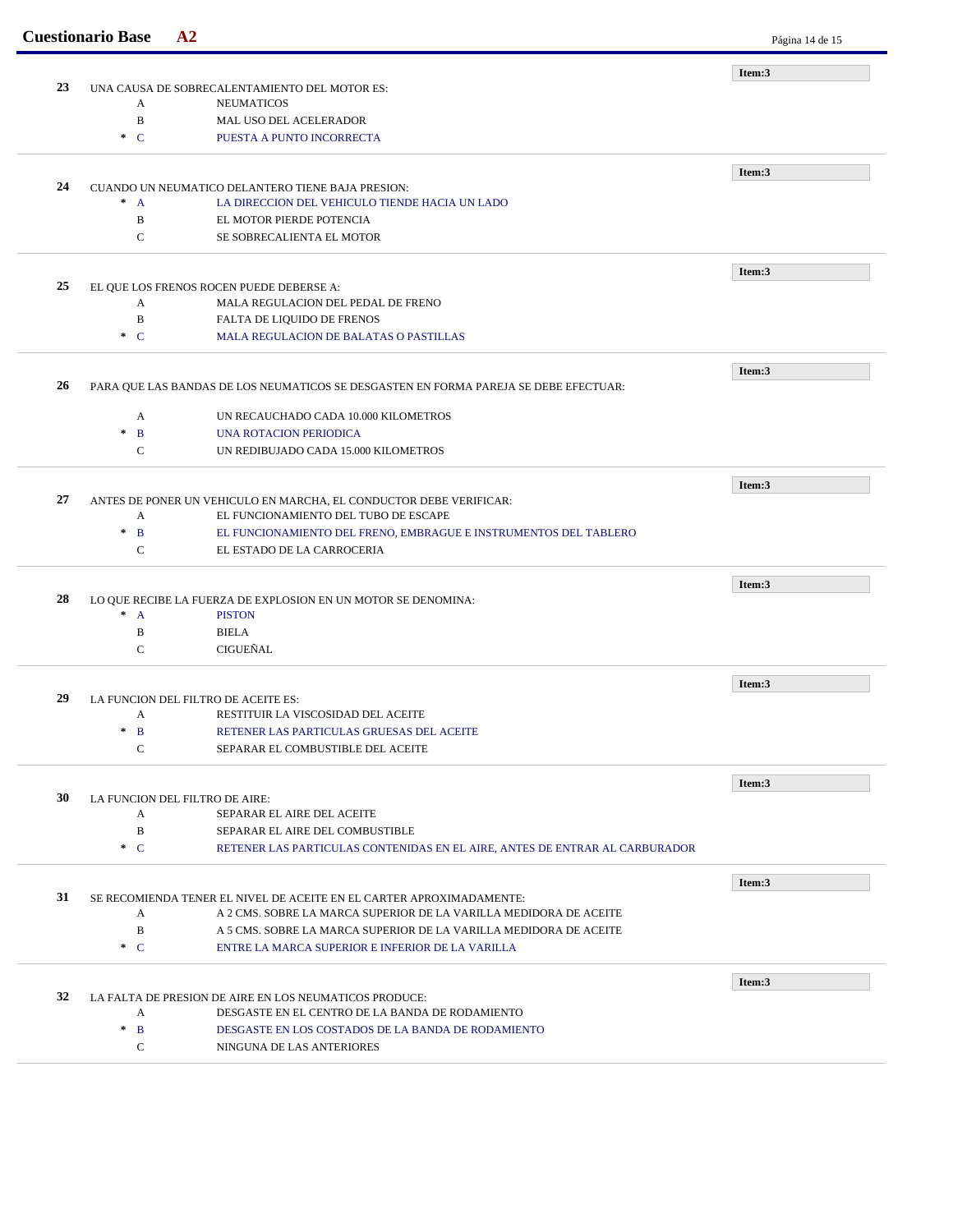|    | <b>Cuestionario Base</b>                          | A2                                                                                   | Página 14 de 15 |
|----|---------------------------------------------------|--------------------------------------------------------------------------------------|-----------------|
|    |                                                   |                                                                                      | Item:3          |
| 23 |                                                   | UNA CAUSA DE SOBRECALENTAMIENTO DEL MOTOR ES:                                        |                 |
|    | A                                                 | <b>NEUMATICOS</b>                                                                    |                 |
|    | $\, {\bf B}$                                      | MAL USO DEL ACELERADOR                                                               |                 |
|    | $\cdot C$                                         | PUESTA A PUNTO INCORRECTA                                                            |                 |
|    |                                                   |                                                                                      | Item:3          |
| 24 | CUANDO UN NEUMATICO DELANTERO TIENE BAJA PRESION: |                                                                                      |                 |
|    | $^*$ A                                            | LA DIRECCION DEL VEHICULO TIENDE HACIA UN LADO                                       |                 |
|    | B                                                 | EL MOTOR PIERDE POTENCIA                                                             |                 |
|    | $\mathbf C$                                       | SE SOBRECALIENTA EL MOTOR                                                            |                 |
|    |                                                   |                                                                                      |                 |
| 25 |                                                   | EL QUE LOS FRENOS ROCEN PUEDE DEBERSE A:                                             | Item:3          |
|    | A                                                 | MALA REGULACION DEL PEDAL DE FRENO                                                   |                 |
|    | $\, {\bf B}$                                      | FALTA DE LIQUIDO DE FRENOS                                                           |                 |
|    | $\ast$ C                                          | MALA REGULACION DE BALATAS O PASTILLAS                                               |                 |
|    |                                                   |                                                                                      |                 |
|    |                                                   |                                                                                      | Item:3          |
| 26 |                                                   | PARA QUE LAS BANDAS DE LOS NEUMATICOS SE DESGASTEN EN FORMA PAREJA SE DEBE EFECTUAR: |                 |
|    | A                                                 | UN RECAUCHADO CADA 10.000 KILOMETROS                                                 |                 |
|    | $\ast$<br>B                                       | <b>UNA ROTACION PERIODICA</b>                                                        |                 |
|    | $\mathbf C$                                       | UN REDIBUJADO CADA 15.000 KILOMETROS                                                 |                 |
|    |                                                   |                                                                                      |                 |
| 27 |                                                   | ANTES DE PONER UN VEHICULO EN MARCHA, EL CONDUCTOR DEBE VERIFICAR:                   | Item:3          |
|    | A                                                 | EL FUNCIONAMIENTO DEL TUBO DE ESCAPE                                                 |                 |
|    | $\, {\bf B}$<br>$\ast$                            | EL FUNCIONAMIENTO DEL FRENO, EMBRAGUE E INSTRUMENTOS DEL TABLERO                     |                 |
|    | $\mathbf C$                                       | EL ESTADO DE LA CARROCERIA                                                           |                 |
|    |                                                   |                                                                                      |                 |
| 28 |                                                   | LO QUE RECIBE LA FUERZA DE EXPLOSION EN UN MOTOR SE DENOMINA:                        | Item:3          |
|    | $^*$ A                                            | <b>PISTON</b>                                                                        |                 |
|    | B                                                 | <b>BIELA</b>                                                                         |                 |
|    | $\mathbf C$                                       | CIGUEÑAL                                                                             |                 |
|    |                                                   |                                                                                      |                 |
|    |                                                   |                                                                                      | Item:3          |
| 29 |                                                   | LA FUNCION DEL FILTRO DE ACEITE ES:                                                  |                 |
|    | A                                                 | RESTITUIR LA VISCOSIDAD DEL ACEITE                                                   |                 |
|    | $*$ B                                             | RETENER LAS PARTICULAS GRUESAS DEL ACEITE                                            |                 |
|    | $\mathbf C$                                       | SEPARAR EL COMBUSTIBLE DEL ACEITE                                                    |                 |
|    |                                                   |                                                                                      | Item:3          |
| 30 |                                                   | LA FUNCION DEL FILTRO DE AIRE:                                                       |                 |
|    | А                                                 | SEPARAR EL AIRE DEL ACEITE                                                           |                 |
|    | $\, {\bf B}$                                      | SEPARAR EL AIRE DEL COMBUSTIBLE                                                      |                 |
|    | $C^*$                                             | RETENER LAS PARTICULAS CONTENIDAS EN EL AIRE, ANTES DE ENTRAR AL CARBURADOR          |                 |
|    |                                                   |                                                                                      | Item:3          |
| 31 |                                                   | SE RECOMIENDA TENER EL NIVEL DE ACEITE EN EL CARTER APROXIMADAMENTE:                 |                 |
|    | А                                                 | A 2 CMS. SOBRE LA MARCA SUPERIOR DE LA VARILLA MEDIDORA DE ACEITE                    |                 |
|    | B                                                 | A 5 CMS. SOBRE LA MARCA SUPERIOR DE LA VARILLA MEDIDORA DE ACEITE                    |                 |
|    | $\cdot C$                                         | ENTRE LA MARCA SUPERIOR E INFERIOR DE LA VARILLA                                     |                 |
|    |                                                   |                                                                                      |                 |
| 32 |                                                   | LA FALTA DE PRESION DE AIRE EN LOS NEUMATICOS PRODUCE:                               | Item:3          |
|    | А                                                 | DESGASTE EN EL CENTRO DE LA BANDA DE RODAMIENTO                                      |                 |
|    |                                                   |                                                                                      |                 |
|    | $\ast$<br>$\mathbf{B}$                            | DESGASTE EN LOS COSTADOS DE LA BANDA DE RODAMIENTO                                   |                 |